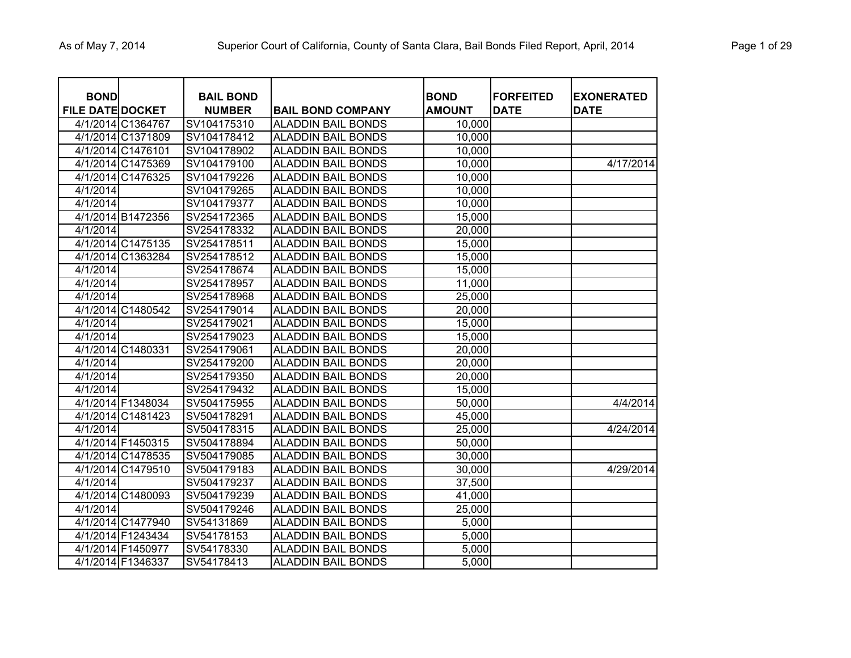| <b>BOND</b><br><b>FILE DATE DOCKET</b> |                   | <b>BAIL BOND</b><br><b>NUMBER</b> | <b>BAIL BOND COMPANY</b>  | <b>BOND</b><br><b>AMOUNT</b> | <b>FORFEITED</b><br><b>DATE</b> | <b>EXONERATED</b><br><b>DATE</b> |
|----------------------------------------|-------------------|-----------------------------------|---------------------------|------------------------------|---------------------------------|----------------------------------|
|                                        | 4/1/2014 C1364767 | SV104175310                       | <b>ALADDIN BAIL BONDS</b> | 10,000                       |                                 |                                  |
|                                        | 4/1/2014 C1371809 | SV104178412                       | <b>ALADDIN BAIL BONDS</b> | 10,000                       |                                 |                                  |
|                                        | 4/1/2014 C1476101 | SV104178902                       | <b>ALADDIN BAIL BONDS</b> | 10,000                       |                                 |                                  |
|                                        | 4/1/2014 C1475369 | SV104179100                       | <b>ALADDIN BAIL BONDS</b> | 10,000                       |                                 | 4/17/2014                        |
|                                        | 4/1/2014 C1476325 | SV104179226                       | <b>ALADDIN BAIL BONDS</b> | 10,000                       |                                 |                                  |
| 4/1/2014                               |                   | SV104179265                       | <b>ALADDIN BAIL BONDS</b> | 10,000                       |                                 |                                  |
| 4/1/2014                               |                   | SV104179377                       | <b>ALADDIN BAIL BONDS</b> | 10,000                       |                                 |                                  |
|                                        | 4/1/2014 B1472356 | SV254172365                       | <b>ALADDIN BAIL BONDS</b> | 15,000                       |                                 |                                  |
| 4/1/2014                               |                   | SV254178332                       | <b>ALADDIN BAIL BONDS</b> | 20,000                       |                                 |                                  |
|                                        | 4/1/2014 C1475135 | SV254178511                       | <b>ALADDIN BAIL BONDS</b> | 15,000                       |                                 |                                  |
|                                        | 4/1/2014 C1363284 | SV254178512                       | <b>ALADDIN BAIL BONDS</b> | 15,000                       |                                 |                                  |
| 4/1/2014                               |                   | SV254178674                       | <b>ALADDIN BAIL BONDS</b> | 15,000                       |                                 |                                  |
| 4/1/2014                               |                   | SV254178957                       | <b>ALADDIN BAIL BONDS</b> | 11,000                       |                                 |                                  |
| 4/1/2014                               |                   | SV254178968                       | <b>ALADDIN BAIL BONDS</b> | 25,000                       |                                 |                                  |
|                                        | 4/1/2014 C1480542 | SV254179014                       | <b>ALADDIN BAIL BONDS</b> | 20,000                       |                                 |                                  |
| 4/1/2014                               |                   | SV254179021                       | <b>ALADDIN BAIL BONDS</b> | 15,000                       |                                 |                                  |
| 4/1/2014                               |                   | SV254179023                       | <b>ALADDIN BAIL BONDS</b> | 15,000                       |                                 |                                  |
|                                        | 4/1/2014 C1480331 | SV254179061                       | <b>ALADDIN BAIL BONDS</b> | 20,000                       |                                 |                                  |
| $\frac{4}{12014}$                      |                   | SV254179200                       | <b>ALADDIN BAIL BONDS</b> | 20,000                       |                                 |                                  |
| 4/1/2014                               |                   | SV254179350                       | <b>ALADDIN BAIL BONDS</b> | 20,000                       |                                 |                                  |
| 4/1/2014                               |                   | SV254179432                       | <b>ALADDIN BAIL BONDS</b> | 15,000                       |                                 |                                  |
|                                        | 4/1/2014 F1348034 | SV504175955                       | <b>ALADDIN BAIL BONDS</b> | 50,000                       |                                 | 4/4/2014                         |
|                                        | 4/1/2014 C1481423 | SV504178291                       | <b>ALADDIN BAIL BONDS</b> | 45,000                       |                                 |                                  |
| 4/1/2014                               |                   | SV504178315                       | <b>ALADDIN BAIL BONDS</b> | 25,000                       |                                 | 4/24/2014                        |
|                                        | 4/1/2014 F1450315 | SV504178894                       | <b>ALADDIN BAIL BONDS</b> | 50,000                       |                                 |                                  |
|                                        | 4/1/2014 C1478535 | SV504179085                       | <b>ALADDIN BAIL BONDS</b> | 30,000                       |                                 |                                  |
|                                        | 4/1/2014 C1479510 | SV504179183                       | <b>ALADDIN BAIL BONDS</b> | 30,000                       |                                 | 4/29/2014                        |
| 4/1/2014                               |                   | SV504179237                       | <b>ALADDIN BAIL BONDS</b> | 37,500                       |                                 |                                  |
|                                        | 4/1/2014 C1480093 | SV504179239                       | <b>ALADDIN BAIL BONDS</b> | 41,000                       |                                 |                                  |
| 4/1/2014                               |                   | SV504179246                       | <b>ALADDIN BAIL BONDS</b> | 25,000                       |                                 |                                  |
|                                        | 4/1/2014 C1477940 | SV54131869                        | <b>ALADDIN BAIL BONDS</b> | 5,000                        |                                 |                                  |
|                                        | 4/1/2014 F1243434 | SV54178153                        | <b>ALADDIN BAIL BONDS</b> | 5,000                        |                                 |                                  |
|                                        | 4/1/2014 F1450977 | SV54178330                        | <b>ALADDIN BAIL BONDS</b> | 5,000                        |                                 |                                  |
|                                        | 4/1/2014 F1346337 | SV54178413                        | <b>ALADDIN BAIL BONDS</b> | 5,000                        |                                 |                                  |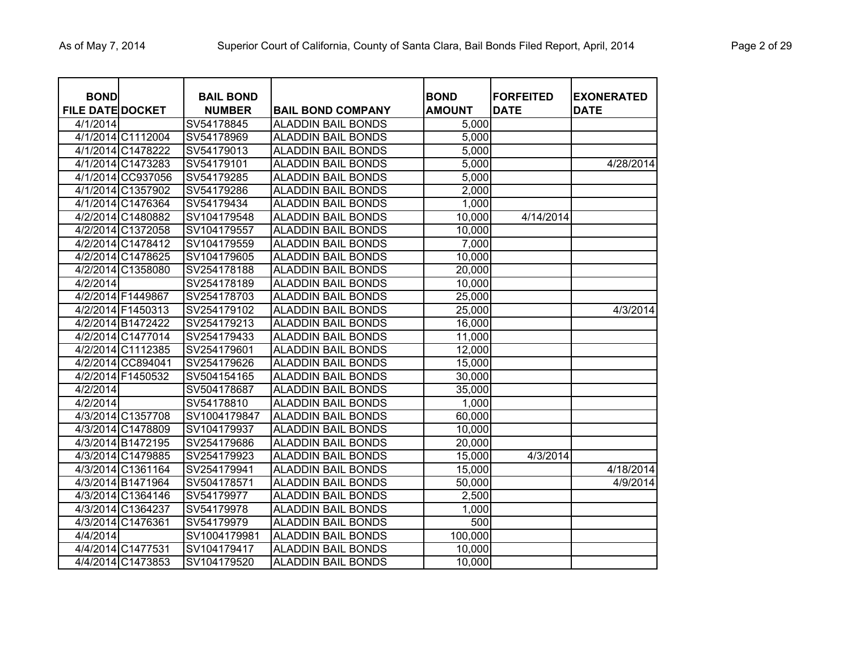| <b>BOND</b><br><b>FILE DATE DOCKET</b> |                   | <b>BAIL BOND</b><br><b>NUMBER</b> | <b>BAIL BOND COMPANY</b>  | <b>BOND</b><br><b>AMOUNT</b> | <b>FORFEITED</b><br><b>DATE</b> | <b>EXONERATED</b><br><b>DATE</b> |
|----------------------------------------|-------------------|-----------------------------------|---------------------------|------------------------------|---------------------------------|----------------------------------|
| 4/1/2014                               |                   | SV54178845                        | <b>ALADDIN BAIL BONDS</b> | 5,000                        |                                 |                                  |
|                                        | 4/1/2014 C1112004 | SV54178969                        | <b>ALADDIN BAIL BONDS</b> | 5,000                        |                                 |                                  |
|                                        | 4/1/2014 C1478222 | SV54179013                        | <b>ALADDIN BAIL BONDS</b> | 5,000                        |                                 |                                  |
|                                        | 4/1/2014 C1473283 | SV54179101                        | <b>ALADDIN BAIL BONDS</b> | 5,000                        |                                 | 4/28/2014                        |
|                                        | 4/1/2014 CC937056 | SV54179285                        | <b>ALADDIN BAIL BONDS</b> | 5,000                        |                                 |                                  |
|                                        | 4/1/2014 C1357902 | SV54179286                        | <b>ALADDIN BAIL BONDS</b> | 2,000                        |                                 |                                  |
|                                        | 4/1/2014 C1476364 | SV54179434                        | <b>ALADDIN BAIL BONDS</b> | 1,000                        |                                 |                                  |
|                                        | 4/2/2014 C1480882 | SV104179548                       | <b>ALADDIN BAIL BONDS</b> | 10,000                       | 4/14/2014                       |                                  |
|                                        | 4/2/2014 C1372058 | SV104179557                       | <b>ALADDIN BAIL BONDS</b> | 10,000                       |                                 |                                  |
|                                        | 4/2/2014 C1478412 | SV104179559                       | <b>ALADDIN BAIL BONDS</b> | 7,000                        |                                 |                                  |
|                                        | 4/2/2014 C1478625 | SV104179605                       | <b>ALADDIN BAIL BONDS</b> | 10,000                       |                                 |                                  |
|                                        | 4/2/2014 C1358080 | SV254178188                       | <b>ALADDIN BAIL BONDS</b> | 20,000                       |                                 |                                  |
| 4/2/2014                               |                   | SV254178189                       | <b>ALADDIN BAIL BONDS</b> | 10,000                       |                                 |                                  |
|                                        | 4/2/2014 F1449867 | SV254178703                       | <b>ALADDIN BAIL BONDS</b> | 25,000                       |                                 |                                  |
|                                        | 4/2/2014 F1450313 | SV254179102                       | <b>ALADDIN BAIL BONDS</b> | 25,000                       |                                 | 4/3/2014                         |
|                                        | 4/2/2014 B1472422 | SV254179213                       | <b>ALADDIN BAIL BONDS</b> | 16,000                       |                                 |                                  |
|                                        | 4/2/2014 C1477014 | SV254179433                       | <b>ALADDIN BAIL BONDS</b> | 11,000                       |                                 |                                  |
|                                        | 4/2/2014 C1112385 | SV254179601                       | <b>ALADDIN BAIL BONDS</b> | 12,000                       |                                 |                                  |
|                                        | 4/2/2014 CC894041 | SV254179626                       | <b>ALADDIN BAIL BONDS</b> | 15,000                       |                                 |                                  |
|                                        | 4/2/2014 F1450532 | SV504154165                       | <b>ALADDIN BAIL BONDS</b> | 30,000                       |                                 |                                  |
| 4/2/2014                               |                   | SV504178687                       | <b>ALADDIN BAIL BONDS</b> | 35,000                       |                                 |                                  |
| 4/2/2014                               |                   | SV54178810                        | <b>ALADDIN BAIL BONDS</b> | 1,000                        |                                 |                                  |
|                                        | 4/3/2014 C1357708 | SV1004179847                      | <b>ALADDIN BAIL BONDS</b> | 60,000                       |                                 |                                  |
|                                        | 4/3/2014 C1478809 | SV104179937                       | <b>ALADDIN BAIL BONDS</b> | 10,000                       |                                 |                                  |
|                                        | 4/3/2014 B1472195 | SV254179686                       | <b>ALADDIN BAIL BONDS</b> | 20,000                       |                                 |                                  |
|                                        | 4/3/2014 C1479885 | SV254179923                       | <b>ALADDIN BAIL BONDS</b> | 15,000                       | 4/3/2014                        |                                  |
|                                        | 4/3/2014 C1361164 | SV254179941                       | <b>ALADDIN BAIL BONDS</b> | 15,000                       |                                 | 4/18/2014                        |
|                                        | 4/3/2014 B1471964 | SV504178571                       | <b>ALADDIN BAIL BONDS</b> | 50,000                       |                                 | 4/9/2014                         |
|                                        | 4/3/2014 C1364146 | SV54179977                        | <b>ALADDIN BAIL BONDS</b> | 2,500                        |                                 |                                  |
|                                        | 4/3/2014 C1364237 | SV54179978                        | <b>ALADDIN BAIL BONDS</b> | 1,000                        |                                 |                                  |
|                                        | 4/3/2014 C1476361 | SV54179979                        | <b>ALADDIN BAIL BONDS</b> | 500                          |                                 |                                  |
| 4/4/2014                               |                   | SV1004179981                      | <b>ALADDIN BAIL BONDS</b> | 100,000                      |                                 |                                  |
|                                        | 4/4/2014 C1477531 | SV104179417                       | <b>ALADDIN BAIL BONDS</b> | 10,000                       |                                 |                                  |
|                                        | 4/4/2014 C1473853 | SV104179520                       | <b>ALADDIN BAIL BONDS</b> | 10,000                       |                                 |                                  |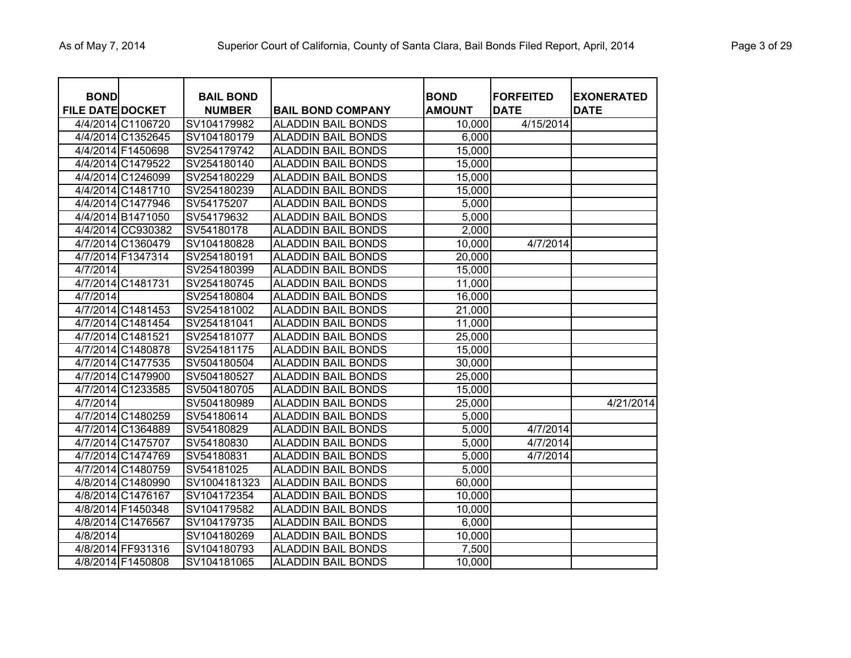| <b>BOND</b><br><b>FILE DATE DOCKET</b> |                   | <b>BAIL BOND</b><br><b>NUMBER</b> | <b>BAIL BOND COMPANY</b>  | <b>BOND</b><br><b>AMOUNT</b> | <b>FORFEITED</b><br><b>DATE</b> | <b>EXONERATED</b><br><b>DATE</b> |
|----------------------------------------|-------------------|-----------------------------------|---------------------------|------------------------------|---------------------------------|----------------------------------|
|                                        | 4/4/2014 C1106720 | SV104179982                       | <b>ALADDIN BAIL BONDS</b> | 10,000                       | 4/15/2014                       |                                  |
|                                        | 4/4/2014 C1352645 | SV104180179                       | <b>ALADDIN BAIL BONDS</b> | 6,000                        |                                 |                                  |
|                                        | 4/4/2014 F1450698 | SV254179742                       | <b>ALADDIN BAIL BONDS</b> | 15,000                       |                                 |                                  |
|                                        | 4/4/2014 C1479522 | SV254180140                       | <b>ALADDIN BAIL BONDS</b> | 15,000                       |                                 |                                  |
|                                        | 4/4/2014 C1246099 | SV254180229                       | <b>ALADDIN BAIL BONDS</b> | 15,000                       |                                 |                                  |
|                                        | 4/4/2014 C1481710 | SV254180239                       | <b>ALADDIN BAIL BONDS</b> | 15,000                       |                                 |                                  |
|                                        | 4/4/2014 C1477946 | SV54175207                        | <b>ALADDIN BAIL BONDS</b> | 5,000                        |                                 |                                  |
|                                        | 4/4/2014 B1471050 | SV54179632                        | <b>ALADDIN BAIL BONDS</b> | 5,000                        |                                 |                                  |
|                                        | 4/4/2014 CC930382 | SV54180178                        | <b>ALADDIN BAIL BONDS</b> | 2,000                        |                                 |                                  |
|                                        | 4/7/2014 C1360479 | SV104180828                       | <b>ALADDIN BAIL BONDS</b> | 10,000                       | 4/7/2014                        |                                  |
|                                        | 4/7/2014 F1347314 | SV254180191                       | <b>ALADDIN BAIL BONDS</b> | 20,000                       |                                 |                                  |
| 4/7/2014                               |                   | SV254180399                       | <b>ALADDIN BAIL BONDS</b> | 15,000                       |                                 |                                  |
|                                        | 4/7/2014 C1481731 | SV254180745                       | <b>ALADDIN BAIL BONDS</b> | 11,000                       |                                 |                                  |
| 4/7/2014                               |                   | SV254180804                       | <b>ALADDIN BAIL BONDS</b> | 16,000                       |                                 |                                  |
|                                        | 4/7/2014 C1481453 | SV254181002                       | <b>ALADDIN BAIL BONDS</b> | 21,000                       |                                 |                                  |
|                                        | 4/7/2014 C1481454 | SV254181041                       | <b>ALADDIN BAIL BONDS</b> | 11,000                       |                                 |                                  |
|                                        | 4/7/2014 C1481521 | SV254181077                       | <b>ALADDIN BAIL BONDS</b> | 25,000                       |                                 |                                  |
|                                        | 4/7/2014 C1480878 | SV254181175                       | <b>ALADDIN BAIL BONDS</b> | 15,000                       |                                 |                                  |
|                                        | 4/7/2014 C1477535 | SV504180504                       | <b>ALADDIN BAIL BONDS</b> | 30,000                       |                                 |                                  |
|                                        | 4/7/2014 C1479900 | SV504180527                       | <b>ALADDIN BAIL BONDS</b> | 25,000                       |                                 |                                  |
|                                        | 4/7/2014 C1233585 | SV504180705                       | <b>ALADDIN BAIL BONDS</b> | 15,000                       |                                 |                                  |
| 4/7/2014                               |                   | SV504180989                       | <b>ALADDIN BAIL BONDS</b> | 25,000                       |                                 | 4/21/2014                        |
|                                        | 4/7/2014 C1480259 | SV54180614                        | <b>ALADDIN BAIL BONDS</b> | 5,000                        |                                 |                                  |
|                                        | 4/7/2014 C1364889 | SV54180829                        | <b>ALADDIN BAIL BONDS</b> | 5,000                        | 4/7/2014                        |                                  |
|                                        | 4/7/2014 C1475707 | SV54180830                        | <b>ALADDIN BAIL BONDS</b> | 5,000                        | 4/7/2014                        |                                  |
|                                        | 4/7/2014 C1474769 | SV54180831                        | <b>ALADDIN BAIL BONDS</b> | 5,000                        | 4/7/2014                        |                                  |
|                                        | 4/7/2014 C1480759 | SV54181025                        | <b>ALADDIN BAIL BONDS</b> | 5,000                        |                                 |                                  |
|                                        | 4/8/2014 C1480990 | SV1004181323                      | <b>ALADDIN BAIL BONDS</b> | 60,000                       |                                 |                                  |
|                                        | 4/8/2014 C1476167 | SV104172354                       | <b>ALADDIN BAIL BONDS</b> | 10,000                       |                                 |                                  |
|                                        | 4/8/2014 F1450348 | SV104179582                       | <b>ALADDIN BAIL BONDS</b> | 10,000                       |                                 |                                  |
|                                        | 4/8/2014 C1476567 | SV104179735                       | <b>ALADDIN BAIL BONDS</b> | 6,000                        |                                 |                                  |
| 4/8/2014                               |                   | SV104180269                       | <b>ALADDIN BAIL BONDS</b> | 10,000                       |                                 |                                  |
|                                        | 4/8/2014 FF931316 | SV104180793                       | <b>ALADDIN BAIL BONDS</b> | 7,500                        |                                 |                                  |
|                                        | 4/8/2014 F1450808 | SV104181065                       | <b>ALADDIN BAIL BONDS</b> | 10,000                       |                                 |                                  |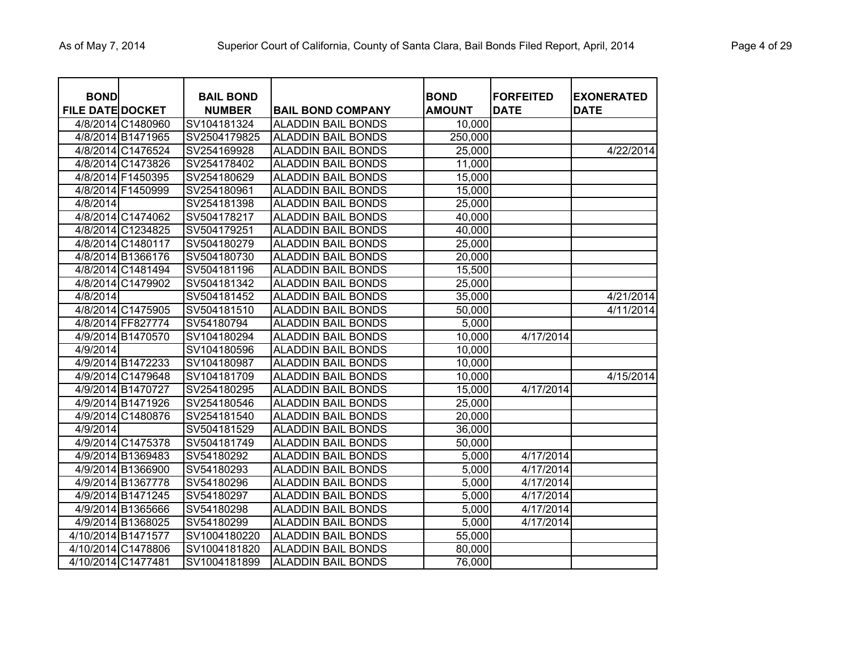| <b>BOND</b><br><b>FILE DATE DOCKET</b> |                    | <b>BAIL BOND</b><br><b>NUMBER</b> | <b>BAIL BOND COMPANY</b>  | <b>BOND</b><br><b>AMOUNT</b> | <b>FORFEITED</b><br><b>DATE</b> | <b>EXONERATED</b><br><b>DATE</b> |
|----------------------------------------|--------------------|-----------------------------------|---------------------------|------------------------------|---------------------------------|----------------------------------|
|                                        | 4/8/2014 C1480960  | SV104181324                       | <b>ALADDIN BAIL BONDS</b> | 10,000                       |                                 |                                  |
|                                        | 4/8/2014 B1471965  | SV2504179825                      | <b>ALADDIN BAIL BONDS</b> | 250,000                      |                                 |                                  |
|                                        | 4/8/2014 C1476524  | SV254169928                       | <b>ALADDIN BAIL BONDS</b> | 25,000                       |                                 | 4/22/2014                        |
|                                        | 4/8/2014 C1473826  | SV254178402                       | <b>ALADDIN BAIL BONDS</b> | 11,000                       |                                 |                                  |
|                                        | 4/8/2014 F1450395  | SV254180629                       | <b>ALADDIN BAIL BONDS</b> | 15,000                       |                                 |                                  |
|                                        | 4/8/2014 F1450999  | SV254180961                       | <b>ALADDIN BAIL BONDS</b> | 15,000                       |                                 |                                  |
| 4/8/2014                               |                    | SV254181398                       | <b>ALADDIN BAIL BONDS</b> | 25,000                       |                                 |                                  |
|                                        | 4/8/2014 C1474062  | SV504178217                       | <b>ALADDIN BAIL BONDS</b> | 40,000                       |                                 |                                  |
|                                        | 4/8/2014 C1234825  | SV504179251                       | <b>ALADDIN BAIL BONDS</b> | 40,000                       |                                 |                                  |
|                                        | 4/8/2014 C1480117  | SV504180279                       | <b>ALADDIN BAIL BONDS</b> | 25,000                       |                                 |                                  |
|                                        | 4/8/2014 B1366176  | SV504180730                       | <b>ALADDIN BAIL BONDS</b> | 20,000                       |                                 |                                  |
|                                        | 4/8/2014 C1481494  | SV504181196                       | <b>ALADDIN BAIL BONDS</b> | 15,500                       |                                 |                                  |
|                                        | 4/8/2014 C1479902  | SV504181342                       | <b>ALADDIN BAIL BONDS</b> | 25,000                       |                                 |                                  |
| 4/8/2014                               |                    | SV504181452                       | <b>ALADDIN BAIL BONDS</b> | 35,000                       |                                 | 4/21/2014                        |
|                                        | 4/8/2014 C1475905  | SV504181510                       | <b>ALADDIN BAIL BONDS</b> | 50,000                       |                                 | 4/11/2014                        |
|                                        | 4/8/2014 FF827774  | SV54180794                        | <b>ALADDIN BAIL BONDS</b> | 5,000                        |                                 |                                  |
|                                        | 4/9/2014 B1470570  | SV104180294                       | <b>ALADDIN BAIL BONDS</b> | 10,000                       | 4/17/2014                       |                                  |
| 4/9/2014                               |                    | SV104180596                       | <b>ALADDIN BAIL BONDS</b> | 10,000                       |                                 |                                  |
|                                        | 4/9/2014 B1472233  | SV104180987                       | <b>ALADDIN BAIL BONDS</b> | 10,000                       |                                 |                                  |
|                                        | 4/9/2014 C1479648  | SV104181709                       | <b>ALADDIN BAIL BONDS</b> | 10,000                       |                                 | 4/15/2014                        |
|                                        | 4/9/2014 B1470727  | SV254180295                       | <b>ALADDIN BAIL BONDS</b> | 15,000                       | 4/17/2014                       |                                  |
|                                        | 4/9/2014 B1471926  | SV254180546                       | <b>ALADDIN BAIL BONDS</b> | 25,000                       |                                 |                                  |
|                                        | 4/9/2014 C1480876  | SV254181540                       | <b>ALADDIN BAIL BONDS</b> | 20,000                       |                                 |                                  |
| 4/9/2014                               |                    | SV504181529                       | <b>ALADDIN BAIL BONDS</b> | 36,000                       |                                 |                                  |
|                                        | 4/9/2014 C1475378  | SV504181749                       | <b>ALADDIN BAIL BONDS</b> | 50,000                       |                                 |                                  |
|                                        | 4/9/2014 B1369483  | SV54180292                        | <b>ALADDIN BAIL BONDS</b> | 5,000                        | 4/17/2014                       |                                  |
|                                        | 4/9/2014 B1366900  | SV54180293                        | <b>ALADDIN BAIL BONDS</b> | 5,000                        | 4/17/2014                       |                                  |
|                                        | 4/9/2014 B1367778  | SV54180296                        | <b>ALADDIN BAIL BONDS</b> | 5,000                        | 4/17/2014                       |                                  |
|                                        | 4/9/2014 B1471245  | SV54180297                        | <b>ALADDIN BAIL BONDS</b> | 5,000                        | 4/17/2014                       |                                  |
|                                        | 4/9/2014 B1365666  | SV54180298                        | <b>ALADDIN BAIL BONDS</b> | 5,000                        | 4/17/2014                       |                                  |
|                                        | 4/9/2014 B1368025  | SV54180299                        | <b>ALADDIN BAIL BONDS</b> | 5,000                        | 4/17/2014                       |                                  |
| 4/10/2014 B1471577                     |                    | SV1004180220                      | <b>ALADDIN BAIL BONDS</b> | 55,000                       |                                 |                                  |
|                                        | 4/10/2014 C1478806 | SV1004181820                      | <b>ALADDIN BAIL BONDS</b> | 80,000                       |                                 |                                  |
| 4/10/2014 C1477481                     |                    | SV1004181899                      | <b>ALADDIN BAIL BONDS</b> | 76,000                       |                                 |                                  |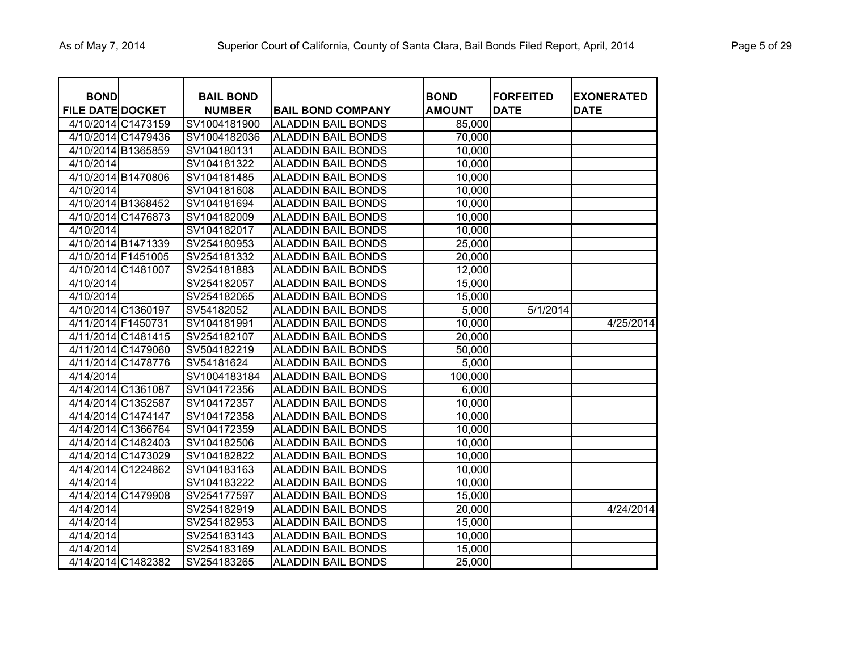| <b>BOND</b>             |                    | <b>BAIL BOND</b> |                           | <b>BOND</b>   | <b>FORFEITED</b> | <b>EXONERATED</b> |
|-------------------------|--------------------|------------------|---------------------------|---------------|------------------|-------------------|
| <b>FILE DATE DOCKET</b> |                    | <b>NUMBER</b>    | <b>BAIL BOND COMPANY</b>  | <b>AMOUNT</b> | <b>DATE</b>      | <b>DATE</b>       |
|                         | 4/10/2014 C1473159 | SV1004181900     | <b>ALADDIN BAIL BONDS</b> | 85,000        |                  |                   |
|                         | 4/10/2014 C1479436 | SV1004182036     | <b>ALADDIN BAIL BONDS</b> | 70,000        |                  |                   |
| 4/10/2014 B1365859      |                    | SV104180131      | <b>ALADDIN BAIL BONDS</b> | 10,000        |                  |                   |
| 4/10/2014               |                    | SV104181322      | <b>ALADDIN BAIL BONDS</b> | 10,000        |                  |                   |
| 4/10/2014 B1470806      |                    | SV104181485      | <b>ALADDIN BAIL BONDS</b> | 10,000        |                  |                   |
| 4/10/2014               |                    | SV104181608      | <b>ALADDIN BAIL BONDS</b> | 10,000        |                  |                   |
| 4/10/2014 B1368452      |                    | SV104181694      | <b>ALADDIN BAIL BONDS</b> | 10,000        |                  |                   |
|                         | 4/10/2014 C1476873 | SV104182009      | <b>ALADDIN BAIL BONDS</b> | 10,000        |                  |                   |
| 4/10/2014               |                    | SV104182017      | <b>ALADDIN BAIL BONDS</b> | 10,000        |                  |                   |
|                         | 4/10/2014 B1471339 | SV254180953      | <b>ALADDIN BAIL BONDS</b> | 25,000        |                  |                   |
| 4/10/2014 F1451005      |                    | SV254181332      | <b>ALADDIN BAIL BONDS</b> | 20,000        |                  |                   |
| 4/10/2014 C1481007      |                    | SV254181883      | <b>ALADDIN BAIL BONDS</b> | 12,000        |                  |                   |
| $\frac{1}{4}$ 0/2014    |                    | SV254182057      | <b>ALADDIN BAIL BONDS</b> | 15,000        |                  |                   |
| 4/10/2014               |                    | SV254182065      | <b>ALADDIN BAIL BONDS</b> | 15,000        |                  |                   |
|                         | 4/10/2014 C1360197 | SV54182052       | <b>ALADDIN BAIL BONDS</b> | 5,000         | 5/1/2014         |                   |
| 4/11/2014 F1450731      |                    | SV104181991      | <b>ALADDIN BAIL BONDS</b> | 10,000        |                  | 4/25/2014         |
|                         | 4/11/2014 C1481415 | SV254182107      | <b>ALADDIN BAIL BONDS</b> | 20,000        |                  |                   |
|                         | 4/11/2014 C1479060 | SV504182219      | <b>ALADDIN BAIL BONDS</b> | 50,000        |                  |                   |
|                         | 4/11/2014 C1478776 | SV54181624       | <b>ALADDIN BAIL BONDS</b> | 5,000         |                  |                   |
| 4/14/2014               |                    | SV1004183184     | <b>ALADDIN BAIL BONDS</b> | 100,000       |                  |                   |
| 4/14/2014 C1361087      |                    | SV104172356      | <b>ALADDIN BAIL BONDS</b> | 6,000         |                  |                   |
| 4/14/2014 C1352587      |                    | SV104172357      | <b>ALADDIN BAIL BONDS</b> | 10,000        |                  |                   |
|                         | 4/14/2014 C1474147 | SV104172358      | <b>ALADDIN BAIL BONDS</b> | 10,000        |                  |                   |
|                         | 4/14/2014 C1366764 | SV104172359      | <b>ALADDIN BAIL BONDS</b> | 10,000        |                  |                   |
|                         | 4/14/2014 C1482403 | SV104182506      | <b>ALADDIN BAIL BONDS</b> | 10,000        |                  |                   |
|                         | 4/14/2014 C1473029 | SV104182822      | <b>ALADDIN BAIL BONDS</b> | 10,000        |                  |                   |
|                         | 4/14/2014 C1224862 | SV104183163      | <b>ALADDIN BAIL BONDS</b> | 10,000        |                  |                   |
| 4/14/2014               |                    | SV104183222      | <b>ALADDIN BAIL BONDS</b> | 10,000        |                  |                   |
|                         | 4/14/2014 C1479908 | SV254177597      | <b>ALADDIN BAIL BONDS</b> | 15,000        |                  |                   |
| 4/14/2014               |                    | SV254182919      | <b>ALADDIN BAIL BONDS</b> | 20,000        |                  | 4/24/2014         |
| 4/14/2014               |                    | SV254182953      | <b>ALADDIN BAIL BONDS</b> | 15,000        |                  |                   |
| 4/14/2014               |                    | SV254183143      | <b>ALADDIN BAIL BONDS</b> | 10,000        |                  |                   |
| 4/14/2014               |                    | SV254183169      | <b>ALADDIN BAIL BONDS</b> | 15,000        |                  |                   |
|                         | 4/14/2014 C1482382 | SV254183265      | <b>ALADDIN BAIL BONDS</b> | 25,000        |                  |                   |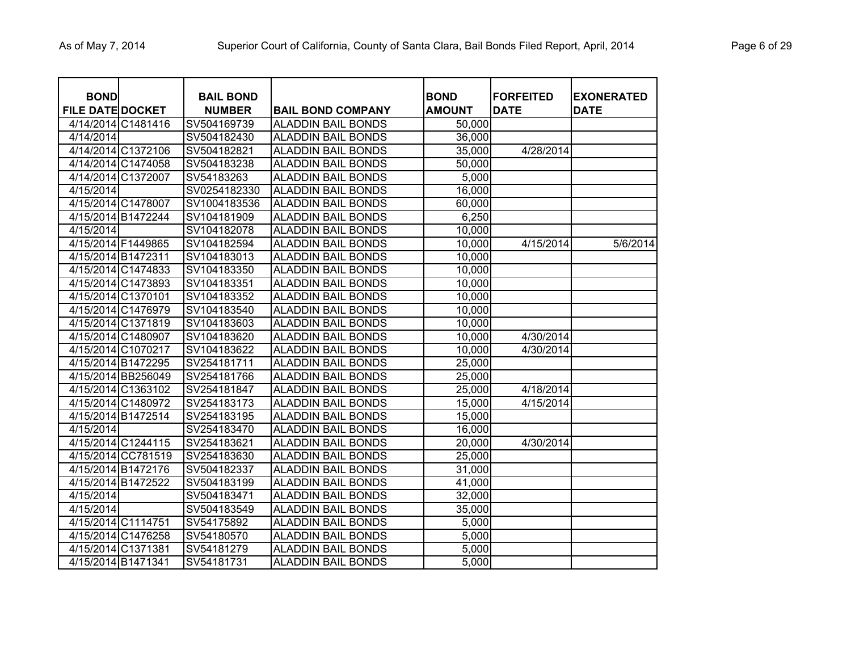| <b>BOND</b>             |                    | <b>BAIL BOND</b> |                           | <b>BOND</b>   | <b>FORFEITED</b> | <b>EXONERATED</b> |
|-------------------------|--------------------|------------------|---------------------------|---------------|------------------|-------------------|
| <b>FILE DATE DOCKET</b> |                    | <b>NUMBER</b>    | <b>BAIL BOND COMPANY</b>  | <b>AMOUNT</b> | <b>DATE</b>      | <b>DATE</b>       |
|                         | 4/14/2014 C1481416 | SV504169739      | <b>ALADDIN BAIL BONDS</b> | 50,000        |                  |                   |
| 4/14/2014               |                    | SV504182430      | <b>ALADDIN BAIL BONDS</b> | 36,000        |                  |                   |
|                         | 4/14/2014 C1372106 | SV504182821      | <b>ALADDIN BAIL BONDS</b> | 35,000        | 4/28/2014        |                   |
|                         | 4/14/2014 C1474058 | SV504183238      | <b>ALADDIN BAIL BONDS</b> | 50,000        |                  |                   |
|                         | 4/14/2014 C1372007 | SV54183263       | <b>ALADDIN BAIL BONDS</b> | 5,000         |                  |                   |
| 4/15/2014               |                    | SV0254182330     | <b>ALADDIN BAIL BONDS</b> | 16,000        |                  |                   |
|                         | 4/15/2014 C1478007 | SV1004183536     | <b>ALADDIN BAIL BONDS</b> | 60,000        |                  |                   |
|                         | 4/15/2014 B1472244 | SV104181909      | <b>ALADDIN BAIL BONDS</b> | 6,250         |                  |                   |
| 4/15/2014               |                    | SV104182078      | <b>ALADDIN BAIL BONDS</b> | 10,000        |                  |                   |
| 4/15/2014 F1449865      |                    | SV104182594      | <b>ALADDIN BAIL BONDS</b> | 10,000        | 4/15/2014        | 5/6/2014          |
| 4/15/2014 B1472311      |                    | SV104183013      | <b>ALADDIN BAIL BONDS</b> | 10,000        |                  |                   |
|                         | 4/15/2014 C1474833 | SV104183350      | <b>ALADDIN BAIL BONDS</b> | 10,000        |                  |                   |
|                         | 4/15/2014 C1473893 | SV104183351      | <b>ALADDIN BAIL BONDS</b> | 10,000        |                  |                   |
| 4/15/2014 C1370101      |                    | SV104183352      | <b>ALADDIN BAIL BONDS</b> | 10,000        |                  |                   |
|                         | 4/15/2014 C1476979 | SV104183540      | <b>ALADDIN BAIL BONDS</b> | 10,000        |                  |                   |
|                         | 4/15/2014 C1371819 | SV104183603      | <b>ALADDIN BAIL BONDS</b> | 10,000        |                  |                   |
|                         | 4/15/2014 C1480907 | SV104183620      | <b>ALADDIN BAIL BONDS</b> | 10,000        | 4/30/2014        |                   |
|                         | 4/15/2014 C1070217 | SV104183622      | <b>ALADDIN BAIL BONDS</b> | 10,000        | 4/30/2014        |                   |
|                         | 4/15/2014 B1472295 | SV254181711      | <b>ALADDIN BAIL BONDS</b> | 25,000        |                  |                   |
|                         | 4/15/2014 BB256049 | SV254181766      | <b>ALADDIN BAIL BONDS</b> | 25,000        |                  |                   |
|                         | 4/15/2014 C1363102 | SV254181847      | <b>ALADDIN BAIL BONDS</b> | 25,000        | 4/18/2014        |                   |
|                         | 4/15/2014 C1480972 | SV254183173      | <b>ALADDIN BAIL BONDS</b> | 15,000        | 4/15/2014        |                   |
|                         | 4/15/2014 B1472514 | SV254183195      | <b>ALADDIN BAIL BONDS</b> | 15,000        |                  |                   |
| 4/15/2014               |                    | SV254183470      | <b>ALADDIN BAIL BONDS</b> | 16,000        |                  |                   |
|                         | 4/15/2014 C1244115 | SV254183621      | <b>ALADDIN BAIL BONDS</b> | 20,000        | 4/30/2014        |                   |
|                         | 4/15/2014 CC781519 | SV254183630      | <b>ALADDIN BAIL BONDS</b> | 25,000        |                  |                   |
|                         | 4/15/2014 B1472176 | SV504182337      | <b>ALADDIN BAIL BONDS</b> | 31,000        |                  |                   |
|                         | 4/15/2014 B1472522 | SV504183199      | <b>ALADDIN BAIL BONDS</b> | 41,000        |                  |                   |
| 4/15/2014               |                    | SV504183471      | <b>ALADDIN BAIL BONDS</b> | 32,000        |                  |                   |
| 4/15/2014               |                    | SV504183549      | <b>ALADDIN BAIL BONDS</b> | 35,000        |                  |                   |
| 4/15/2014 C1114751      |                    | SV54175892       | <b>ALADDIN BAIL BONDS</b> | 5,000         |                  |                   |
|                         | 4/15/2014 C1476258 | SV54180570       | <b>ALADDIN BAIL BONDS</b> | 5,000         |                  |                   |
| 4/15/2014 C1371381      |                    | SV54181279       | <b>ALADDIN BAIL BONDS</b> | 5,000         |                  |                   |
| 4/15/2014 B1471341      |                    | SV54181731       | <b>ALADDIN BAIL BONDS</b> | 5,000         |                  |                   |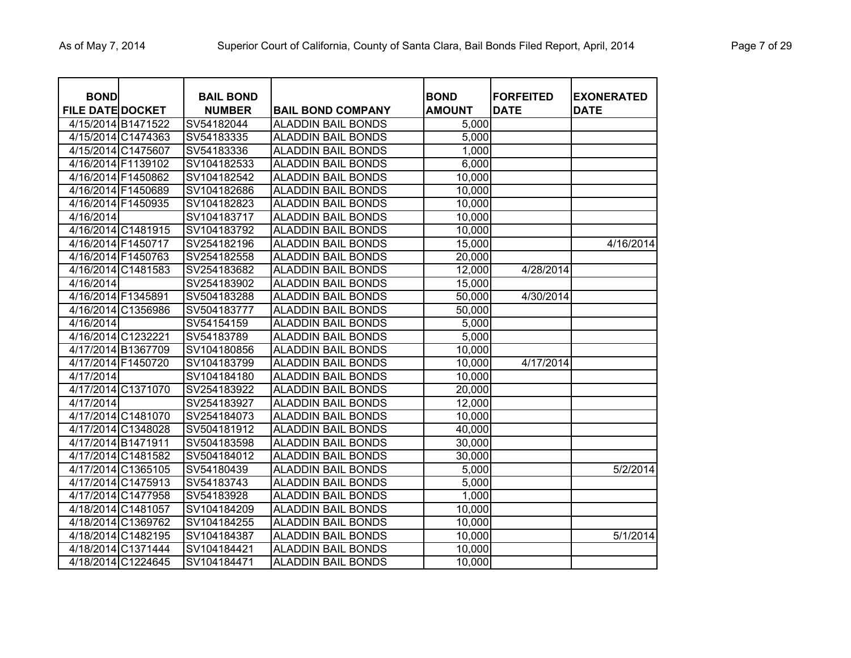| <b>BOND</b><br><b>FILE DATE DOCKET</b> |                    | <b>BAIL BOND</b><br><b>NUMBER</b> | <b>BAIL BOND COMPANY</b>  | <b>BOND</b><br><b>AMOUNT</b> | <b>FORFEITED</b><br><b>DATE</b> | <b>EXONERATED</b><br><b>DATE</b> |
|----------------------------------------|--------------------|-----------------------------------|---------------------------|------------------------------|---------------------------------|----------------------------------|
| 4/15/2014 B1471522                     |                    | SV54182044                        | <b>ALADDIN BAIL BONDS</b> | 5,000                        |                                 |                                  |
|                                        | 4/15/2014 C1474363 | SV54183335                        | <b>ALADDIN BAIL BONDS</b> | 5,000                        |                                 |                                  |
| 4/15/2014 C1475607                     |                    | SV54183336                        | <b>ALADDIN BAIL BONDS</b> | 1,000                        |                                 |                                  |
| 4/16/2014 F1139102                     |                    | SV104182533                       | <b>ALADDIN BAIL BONDS</b> | 6,000                        |                                 |                                  |
| 4/16/2014 F1450862                     |                    | SV104182542                       | <b>ALADDIN BAIL BONDS</b> | 10,000                       |                                 |                                  |
| 4/16/2014 F1450689                     |                    | SV104182686                       | <b>ALADDIN BAIL BONDS</b> | 10,000                       |                                 |                                  |
| 4/16/2014 F1450935                     |                    | SV104182823                       | <b>ALADDIN BAIL BONDS</b> | 10,000                       |                                 |                                  |
| 4/16/2014                              |                    | SV104183717                       | <b>ALADDIN BAIL BONDS</b> | 10,000                       |                                 |                                  |
|                                        | 4/16/2014 C1481915 | SV104183792                       | <b>ALADDIN BAIL BONDS</b> | 10,000                       |                                 |                                  |
| 4/16/2014 F1450717                     |                    | SV254182196                       | <b>ALADDIN BAIL BONDS</b> | 15,000                       |                                 | 4/16/2014                        |
| 4/16/2014 F1450763                     |                    | SV254182558                       | <b>ALADDIN BAIL BONDS</b> | 20,000                       |                                 |                                  |
| 4/16/2014 C1481583                     |                    | SV254183682                       | <b>ALADDIN BAIL BONDS</b> | 12,000                       | 4/28/2014                       |                                  |
| 4/16/2014                              |                    | SV254183902                       | <b>ALADDIN BAIL BONDS</b> | 15,000                       |                                 |                                  |
| 4/16/2014 F1345891                     |                    | SV504183288                       | <b>ALADDIN BAIL BONDS</b> | 50,000                       | 4/30/2014                       |                                  |
|                                        | 4/16/2014 C1356986 | SV504183777                       | <b>ALADDIN BAIL BONDS</b> | 50,000                       |                                 |                                  |
| 4/16/2014                              |                    | SV54154159                        | <b>ALADDIN BAIL BONDS</b> | 5,000                        |                                 |                                  |
| 4/16/2014 C1232221                     |                    | SV54183789                        | <b>ALADDIN BAIL BONDS</b> | 5,000                        |                                 |                                  |
|                                        | 4/17/2014 B1367709 | SV104180856                       | <b>ALADDIN BAIL BONDS</b> | 10,000                       |                                 |                                  |
| 4/17/2014 F1450720                     |                    | SV104183799                       | <b>ALADDIN BAIL BONDS</b> | 10,000                       | 4/17/2014                       |                                  |
| 4/17/2014                              |                    | SV104184180                       | <b>ALADDIN BAIL BONDS</b> | 10,000                       |                                 |                                  |
|                                        | 4/17/2014 C1371070 | SV254183922                       | <b>ALADDIN BAIL BONDS</b> | 20,000                       |                                 |                                  |
| 4/17/2014                              |                    | SV254183927                       | <b>ALADDIN BAIL BONDS</b> | 12,000                       |                                 |                                  |
|                                        | 4/17/2014 C1481070 | SV254184073                       | <b>ALADDIN BAIL BONDS</b> | 10,000                       |                                 |                                  |
|                                        | 4/17/2014 C1348028 | SV504181912                       | <b>ALADDIN BAIL BONDS</b> | 40,000                       |                                 |                                  |
| 4/17/2014 B1471911                     |                    | SV504183598                       | <b>ALADDIN BAIL BONDS</b> | 30,000                       |                                 |                                  |
|                                        | 4/17/2014 C1481582 | SV504184012                       | <b>ALADDIN BAIL BONDS</b> | 30,000                       |                                 |                                  |
|                                        | 4/17/2014 C1365105 | SV54180439                        | <b>ALADDIN BAIL BONDS</b> | 5,000                        |                                 | 5/2/2014                         |
|                                        | 4/17/2014 C1475913 | SV54183743                        | <b>ALADDIN BAIL BONDS</b> | 5,000                        |                                 |                                  |
|                                        | 4/17/2014 C1477958 | SV54183928                        | <b>ALADDIN BAIL BONDS</b> | 1,000                        |                                 |                                  |
| 4/18/2014 C1481057                     |                    | SV104184209                       | <b>ALADDIN BAIL BONDS</b> | 10,000                       |                                 |                                  |
| 4/18/2014 C1369762                     |                    | SV104184255                       | <b>ALADDIN BAIL BONDS</b> | 10,000                       |                                 |                                  |
|                                        | 4/18/2014 C1482195 | SV104184387                       | <b>ALADDIN BAIL BONDS</b> | 10,000                       |                                 | 5/1/2014                         |
|                                        | 4/18/2014 C1371444 | SV104184421                       | <b>ALADDIN BAIL BONDS</b> | 10,000                       |                                 |                                  |
|                                        | 4/18/2014 C1224645 | SV104184471                       | <b>ALADDIN BAIL BONDS</b> | 10,000                       |                                 |                                  |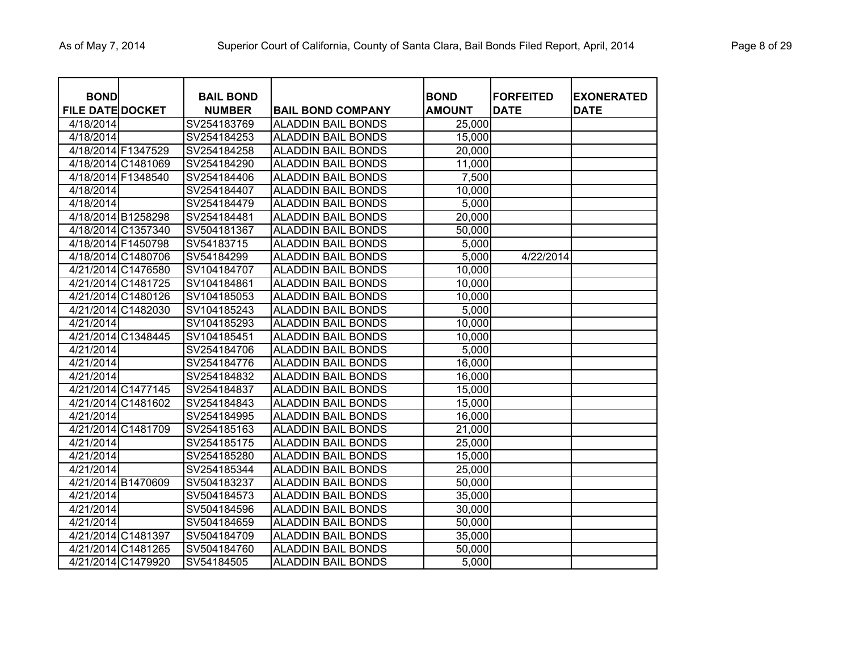| <b>BOND</b>             |                    | <b>BAIL BOND</b> |                           | <b>BOND</b>   | <b>FORFEITED</b> | <b>EXONERATED</b> |
|-------------------------|--------------------|------------------|---------------------------|---------------|------------------|-------------------|
| <b>FILE DATE DOCKET</b> |                    | <b>NUMBER</b>    | <b>BAIL BOND COMPANY</b>  | <b>AMOUNT</b> | <b>DATE</b>      | <b>DATE</b>       |
| 4/18/2014               |                    | SV254183769      | <b>ALADDIN BAIL BONDS</b> | 25,000        |                  |                   |
| 4/18/2014               |                    | SV254184253      | <b>ALADDIN BAIL BONDS</b> | 15,000        |                  |                   |
| 4/18/2014 F1347529      |                    | SV254184258      | <b>ALADDIN BAIL BONDS</b> | 20,000        |                  |                   |
|                         | 4/18/2014 C1481069 | SV254184290      | <b>ALADDIN BAIL BONDS</b> | 11,000        |                  |                   |
| 4/18/2014 F1348540      |                    | SV254184406      | <b>ALADDIN BAIL BONDS</b> | 7,500         |                  |                   |
| 4/18/2014               |                    | SV254184407      | <b>ALADDIN BAIL BONDS</b> | 10,000        |                  |                   |
| 4/18/2014               |                    | SV254184479      | <b>ALADDIN BAIL BONDS</b> | 5,000         |                  |                   |
|                         | 4/18/2014 B1258298 | SV254184481      | ALADDIN BAIL BONDS        | 20,000        |                  |                   |
|                         | 4/18/2014 C1357340 | SV504181367      | ALADDIN BAIL BONDS        | 50,000        |                  |                   |
| 4/18/2014 F1450798      |                    | SV54183715       | <b>ALADDIN BAIL BONDS</b> | 5,000         |                  |                   |
| 4/18/2014 C1480706      |                    | SV54184299       | <b>ALADDIN BAIL BONDS</b> | 5,000         | 4/22/2014        |                   |
|                         | 4/21/2014 C1476580 | SV104184707      | <b>ALADDIN BAIL BONDS</b> | 10,000        |                  |                   |
| 4/21/2014 C1481725      |                    | SV104184861      | <b>ALADDIN BAIL BONDS</b> | 10,000        |                  |                   |
|                         | 4/21/2014 C1480126 | SV104185053      | <b>ALADDIN BAIL BONDS</b> | 10,000        |                  |                   |
|                         | 4/21/2014 C1482030 | SV104185243      | <b>ALADDIN BAIL BONDS</b> | 5,000         |                  |                   |
| 4/21/2014               |                    | SV104185293      | <b>ALADDIN BAIL BONDS</b> | 10,000        |                  |                   |
|                         | 4/21/2014 C1348445 | SV104185451      | <b>ALADDIN BAIL BONDS</b> | 10,000        |                  |                   |
| 4/21/2014               |                    | SV254184706      | <b>ALADDIN BAIL BONDS</b> | 5,000         |                  |                   |
| 4/21/2014               |                    | SV254184776      | <b>ALADDIN BAIL BONDS</b> | 16,000        |                  |                   |
| 4/21/2014               |                    | SV254184832      | <b>ALADDIN BAIL BONDS</b> | 16,000        |                  |                   |
|                         | 4/21/2014 C1477145 | SV254184837      | <b>ALADDIN BAIL BONDS</b> | 15,000        |                  |                   |
|                         | 4/21/2014 C1481602 | SV254184843      | <b>ALADDIN BAIL BONDS</b> | 15,000        |                  |                   |
| 4/21/2014               |                    | SV254184995      | <b>ALADDIN BAIL BONDS</b> | 16,000        |                  |                   |
|                         | 4/21/2014 C1481709 | SV254185163      | <b>ALADDIN BAIL BONDS</b> | 21,000        |                  |                   |
| 4/21/2014               |                    | SV254185175      | <b>ALADDIN BAIL BONDS</b> | 25,000        |                  |                   |
| 4/21/2014               |                    | SV254185280      | <b>ALADDIN BAIL BONDS</b> | 15,000        |                  |                   |
| 4/21/2014               |                    | SV254185344      | <b>ALADDIN BAIL BONDS</b> | 25,000        |                  |                   |
|                         | 4/21/2014 B1470609 | SV504183237      | <b>ALADDIN BAIL BONDS</b> | 50,000        |                  |                   |
| 4/21/2014               |                    | SV504184573      | <b>ALADDIN BAIL BONDS</b> | 35,000        |                  |                   |
| 4/21/2014               |                    | SV504184596      | <b>ALADDIN BAIL BONDS</b> | 30,000        |                  |                   |
| 4/21/2014               |                    | SV504184659      | <b>ALADDIN BAIL BONDS</b> | 50,000        |                  |                   |
|                         | 4/21/2014 C1481397 | SV504184709      | <b>ALADDIN BAIL BONDS</b> | 35,000        |                  |                   |
|                         | 4/21/2014 C1481265 | SV504184760      | <b>ALADDIN BAIL BONDS</b> | 50,000        |                  |                   |
| 4/21/2014 C1479920      |                    | SV54184505       | <b>ALADDIN BAIL BONDS</b> | 5,000         |                  |                   |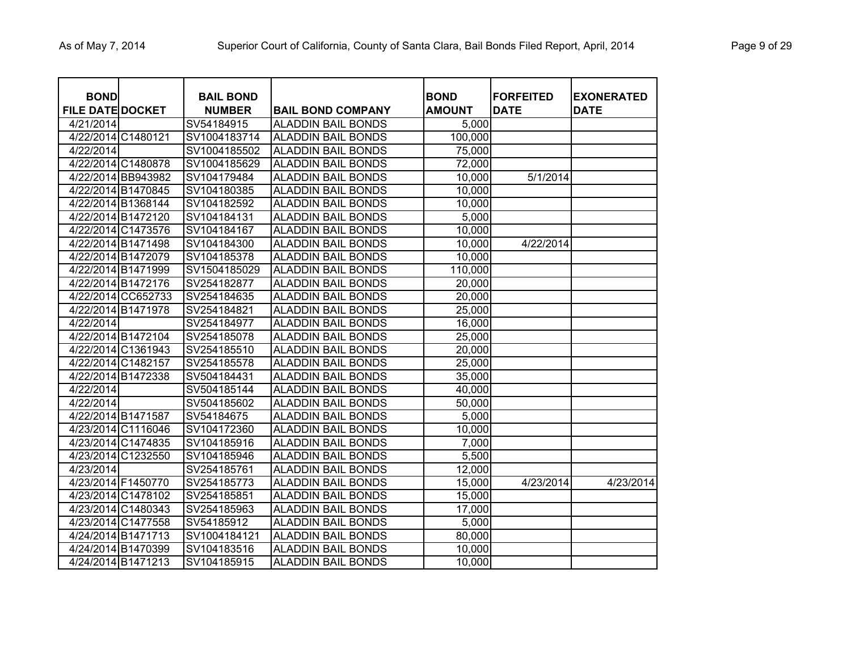| <b>BOND</b>             |                    | <b>BAIL BOND</b> |                           | <b>BOND</b>   | <b>FORFEITED</b> | <b>EXONERATED</b> |
|-------------------------|--------------------|------------------|---------------------------|---------------|------------------|-------------------|
| <b>FILE DATE DOCKET</b> |                    | <b>NUMBER</b>    | <b>BAIL BOND COMPANY</b>  | <b>AMOUNT</b> | <b>DATE</b>      | <b>DATE</b>       |
| 4/21/2014               |                    | SV54184915       | <b>ALADDIN BAIL BONDS</b> | 5,000         |                  |                   |
| 4/22/2014 C1480121      |                    | SV1004183714     | <b>ALADDIN BAIL BONDS</b> | 100,000       |                  |                   |
| 4/22/2014               |                    | SV1004185502     | <b>ALADDIN BAIL BONDS</b> | 75,000        |                  |                   |
| 4/22/2014 C1480878      |                    | SV1004185629     | <b>ALADDIN BAIL BONDS</b> | 72,000        |                  |                   |
|                         | 4/22/2014 BB943982 | SV104179484      | <b>ALADDIN BAIL BONDS</b> | 10,000        | 5/1/2014         |                   |
| 4/22/2014 B1470845      |                    | SV104180385      | <b>ALADDIN BAIL BONDS</b> | 10,000        |                  |                   |
| 4/22/2014 B1368144      |                    | SV104182592      | <b>ALADDIN BAIL BONDS</b> | 10,000        |                  |                   |
| 4/22/2014 B1472120      |                    | SV104184131      | <b>ALADDIN BAIL BONDS</b> | 5,000         |                  |                   |
|                         | 4/22/2014 C1473576 | SV104184167      | <b>ALADDIN BAIL BONDS</b> | 10,000        |                  |                   |
| 4/22/2014 B1471498      |                    | SV104184300      | <b>ALADDIN BAIL BONDS</b> | 10,000        | 4/22/2014        |                   |
| 4/22/2014 B1472079      |                    | SV104185378      | <b>ALADDIN BAIL BONDS</b> | 10,000        |                  |                   |
|                         | 4/22/2014 B1471999 | SV1504185029     | <b>ALADDIN BAIL BONDS</b> | 110,000       |                  |                   |
| 4/22/2014 B1472176      |                    | SV254182877      | <b>ALADDIN BAIL BONDS</b> | 20,000        |                  |                   |
|                         | 4/22/2014 CC652733 | SV254184635      | <b>ALADDIN BAIL BONDS</b> | 20,000        |                  |                   |
|                         | 4/22/2014 B1471978 | SV254184821      | <b>ALADDIN BAIL BONDS</b> | 25,000        |                  |                   |
| 4/22/2014               |                    | SV254184977      | <b>ALADDIN BAIL BONDS</b> | 16,000        |                  |                   |
|                         | 4/22/2014 B1472104 | SV254185078      | <b>ALADDIN BAIL BONDS</b> | 25,000        |                  |                   |
|                         | 4/22/2014 C1361943 | SV254185510      | <b>ALADDIN BAIL BONDS</b> | 20,000        |                  |                   |
|                         | 4/22/2014 C1482157 | SV254185578      | <b>ALADDIN BAIL BONDS</b> | 25,000        |                  |                   |
|                         | 4/22/2014 B1472338 | SV504184431      | <b>ALADDIN BAIL BONDS</b> | 35,000        |                  |                   |
| 4/22/2014               |                    | SV504185144      | <b>ALADDIN BAIL BONDS</b> | 40,000        |                  |                   |
| 4/22/2014               |                    | SV504185602      | <b>ALADDIN BAIL BONDS</b> | 50,000        |                  |                   |
| 4/22/2014 B1471587      |                    | SV54184675       | <b>ALADDIN BAIL BONDS</b> | 5,000         |                  |                   |
|                         | 4/23/2014 C1116046 | SV104172360      | <b>ALADDIN BAIL BONDS</b> | 10,000        |                  |                   |
|                         | 4/23/2014 C1474835 | SV104185916      | <b>ALADDIN BAIL BONDS</b> | 7,000         |                  |                   |
|                         | 4/23/2014 C1232550 | SV104185946      | <b>ALADDIN BAIL BONDS</b> | 5,500         |                  |                   |
| 4/23/2014               |                    | SV254185761      | <b>ALADDIN BAIL BONDS</b> | 12,000        |                  |                   |
| 4/23/2014 F1450770      |                    | SV254185773      | <b>ALADDIN BAIL BONDS</b> | 15,000        | 4/23/2014        | 4/23/2014         |
|                         | 4/23/2014 C1478102 | SV254185851      | <b>ALADDIN BAIL BONDS</b> | 15,000        |                  |                   |
|                         | 4/23/2014 C1480343 | SV254185963      | <b>ALADDIN BAIL BONDS</b> | 17,000        |                  |                   |
|                         | 4/23/2014 C1477558 | SV54185912       | <b>ALADDIN BAIL BONDS</b> | 5,000         |                  |                   |
|                         | 4/24/2014 B1471713 | SV1004184121     | <b>ALADDIN BAIL BONDS</b> | 80,000        |                  |                   |
| 4/24/2014 B1470399      |                    | SV104183516      | <b>ALADDIN BAIL BONDS</b> | 10,000        |                  |                   |
| 4/24/2014 B1471213      |                    | SV104185915      | <b>ALADDIN BAIL BONDS</b> | 10,000        |                  |                   |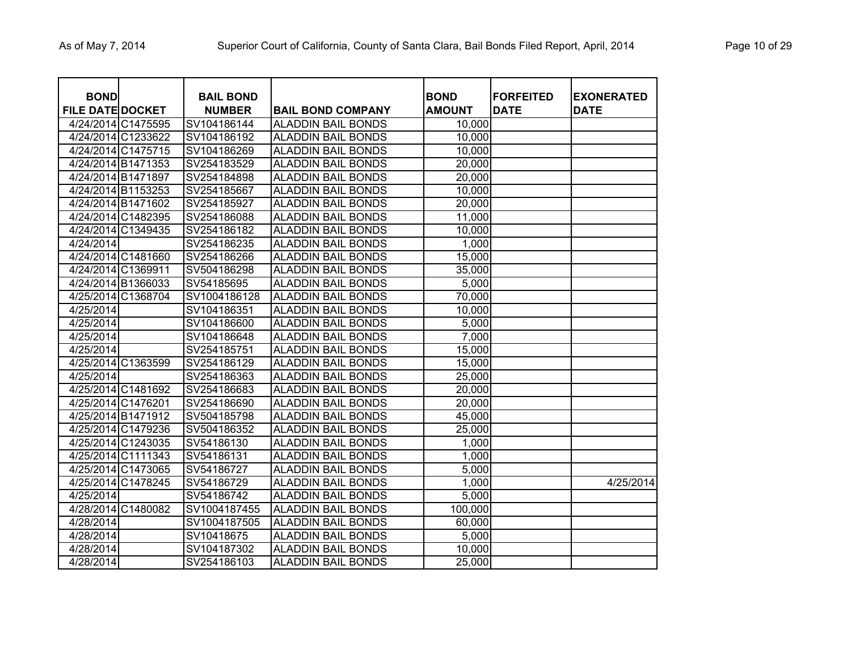| <b>BOND</b><br><b>FILE DATE DOCKET</b> |                    | <b>BAIL BOND</b><br><b>NUMBER</b> | <b>BAIL BOND COMPANY</b>  | <b>BOND</b><br><b>AMOUNT</b> | <b>FORFEITED</b><br><b>DATE</b> | <b>EXONERATED</b><br><b>DATE</b> |
|----------------------------------------|--------------------|-----------------------------------|---------------------------|------------------------------|---------------------------------|----------------------------------|
| 4/24/2014 C1475595                     |                    | SV104186144                       | <b>ALADDIN BAIL BONDS</b> | 10,000                       |                                 |                                  |
| 4/24/2014 C1233622                     |                    | SV104186192                       | <b>ALADDIN BAIL BONDS</b> | 10,000                       |                                 |                                  |
|                                        | 4/24/2014 C1475715 | SV104186269                       | <b>ALADDIN BAIL BONDS</b> | 10,000                       |                                 |                                  |
| 4/24/2014 B1471353                     |                    | SV254183529                       | <b>ALADDIN BAIL BONDS</b> | 20,000                       |                                 |                                  |
| 4/24/2014 B1471897                     |                    | SV254184898                       | <b>ALADDIN BAIL BONDS</b> | 20,000                       |                                 |                                  |
| 4/24/2014 B1153253                     |                    | SV254185667                       | <b>ALADDIN BAIL BONDS</b> | 10,000                       |                                 |                                  |
| 4/24/2014 B1471602                     |                    | SV254185927                       | <b>ALADDIN BAIL BONDS</b> | 20,000                       |                                 |                                  |
|                                        | 4/24/2014 C1482395 | SV254186088                       | <b>ALADDIN BAIL BONDS</b> | 11,000                       |                                 |                                  |
|                                        | 4/24/2014 C1349435 | SV254186182                       | <b>ALADDIN BAIL BONDS</b> | 10,000                       |                                 |                                  |
| 4/24/2014                              |                    | SV254186235                       | <b>ALADDIN BAIL BONDS</b> | 1,000                        |                                 |                                  |
|                                        | 4/24/2014 C1481660 | SV254186266                       | <b>ALADDIN BAIL BONDS</b> | 15,000                       |                                 |                                  |
| 4/24/2014 C1369911                     |                    | SV504186298                       | <b>ALADDIN BAIL BONDS</b> | 35,000                       |                                 |                                  |
| 4/24/2014 B1366033                     |                    | SV54185695                        | <b>ALADDIN BAIL BONDS</b> | 5,000                        |                                 |                                  |
|                                        | 4/25/2014 C1368704 | SV1004186128                      | <b>ALADDIN BAIL BONDS</b> | 70,000                       |                                 |                                  |
| 4/25/2014                              |                    | SV104186351                       | <b>ALADDIN BAIL BONDS</b> | 10,000                       |                                 |                                  |
| 4/25/2014                              |                    | SV104186600                       | <b>ALADDIN BAIL BONDS</b> | 5,000                        |                                 |                                  |
| 4/25/2014                              |                    | SV104186648                       | <b>ALADDIN BAIL BONDS</b> | 7,000                        |                                 |                                  |
| 4/25/2014                              |                    | SV254185751                       | <b>ALADDIN BAIL BONDS</b> | 15,000                       |                                 |                                  |
|                                        | 4/25/2014 C1363599 | SV254186129                       | <b>ALADDIN BAIL BONDS</b> | 15,000                       |                                 |                                  |
| 4/25/2014                              |                    | SV254186363                       | <b>ALADDIN BAIL BONDS</b> | 25,000                       |                                 |                                  |
|                                        | 4/25/2014 C1481692 | SV254186683                       | <b>ALADDIN BAIL BONDS</b> | 20,000                       |                                 |                                  |
| 4/25/2014 C1476201                     |                    | SV254186690                       | <b>ALADDIN BAIL BONDS</b> | 20,000                       |                                 |                                  |
| 4/25/2014 B1471912                     |                    | SV504185798                       | <b>ALADDIN BAIL BONDS</b> | 45,000                       |                                 |                                  |
|                                        | 4/25/2014 C1479236 | SV504186352                       | <b>ALADDIN BAIL BONDS</b> | 25,000                       |                                 |                                  |
|                                        | 4/25/2014 C1243035 | SV54186130                        | <b>ALADDIN BAIL BONDS</b> | 1,000                        |                                 |                                  |
|                                        | 4/25/2014 C1111343 | SV54186131                        | <b>ALADDIN BAIL BONDS</b> | 1,000                        |                                 |                                  |
|                                        | 4/25/2014 C1473065 | SV54186727                        | <b>ALADDIN BAIL BONDS</b> | 5,000                        |                                 |                                  |
|                                        | 4/25/2014 C1478245 | SV54186729                        | <b>ALADDIN BAIL BONDS</b> | 1,000                        |                                 | 4/25/2014                        |
| 4/25/2014                              |                    | SV54186742                        | <b>ALADDIN BAIL BONDS</b> | 5,000                        |                                 |                                  |
|                                        | 4/28/2014 C1480082 | SV1004187455                      | <b>ALADDIN BAIL BONDS</b> | 100,000                      |                                 |                                  |
| 4/28/2014                              |                    | SV1004187505                      | <b>ALADDIN BAIL BONDS</b> | 60,000                       |                                 |                                  |
| 4/28/2014                              |                    | SV10418675                        | <b>ALADDIN BAIL BONDS</b> | 5,000                        |                                 |                                  |
| 4/28/2014                              |                    | SV104187302                       | <b>ALADDIN BAIL BONDS</b> | 10,000                       |                                 |                                  |
| 4/28/2014                              |                    | SV254186103                       | <b>ALADDIN BAIL BONDS</b> | 25,000                       |                                 |                                  |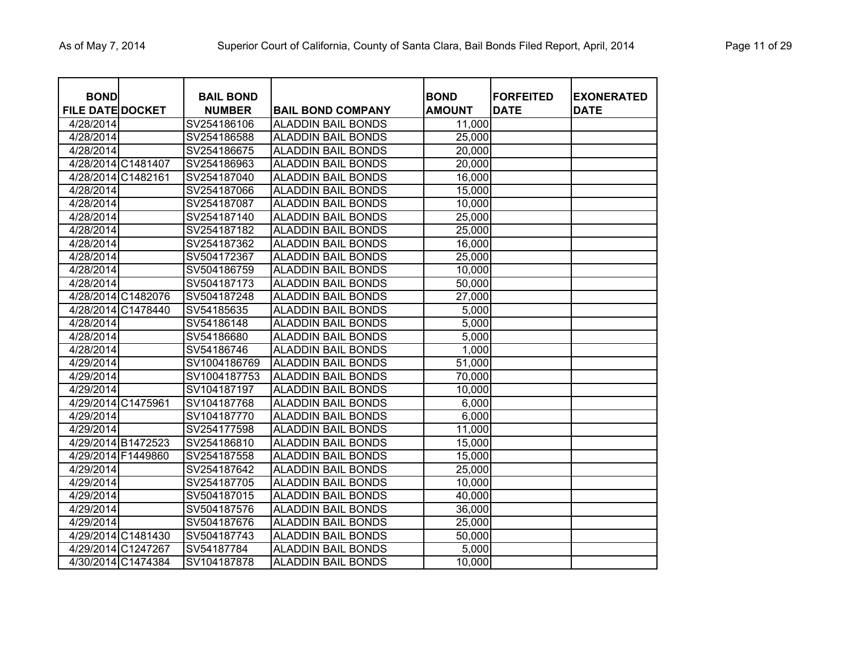| <b>BOND</b><br><b>FILE DATE DOCKET</b> |                    | <b>BAIL BOND</b><br><b>NUMBER</b> | <b>BAIL BOND COMPANY</b>  | <b>BOND</b><br><b>AMOUNT</b> | <b>FORFEITED</b><br><b>DATE</b> | <b>EXONERATED</b><br>DATE |
|----------------------------------------|--------------------|-----------------------------------|---------------------------|------------------------------|---------------------------------|---------------------------|
| 4/28/2014                              |                    | SV254186106                       | <b>ALADDIN BAIL BONDS</b> | 11,000                       |                                 |                           |
| 4/28/2014                              |                    | SV254186588                       | <b>ALADDIN BAIL BONDS</b> | 25,000                       |                                 |                           |
| 4/28/2014                              |                    | SV254186675                       | <b>ALADDIN BAIL BONDS</b> | 20,000                       |                                 |                           |
|                                        | 4/28/2014 C1481407 | SV254186963                       | <b>ALADDIN BAIL BONDS</b> | 20,000                       |                                 |                           |
|                                        | 4/28/2014 C1482161 | SV254187040                       | <b>ALADDIN BAIL BONDS</b> | 16,000                       |                                 |                           |
| 4/28/2014                              |                    | SV254187066                       | <b>ALADDIN BAIL BONDS</b> | 15,000                       |                                 |                           |
| 4/28/2014                              |                    | SV254187087                       | <b>ALADDIN BAIL BONDS</b> | 10,000                       |                                 |                           |
| 4/28/2014                              |                    | SV254187140                       | <b>ALADDIN BAIL BONDS</b> | 25,000                       |                                 |                           |
| 4/28/2014                              |                    | SV254187182                       | <b>ALADDIN BAIL BONDS</b> | 25,000                       |                                 |                           |
| 4/28/2014                              |                    | SV254187362                       | <b>ALADDIN BAIL BONDS</b> | 16,000                       |                                 |                           |
| 4/28/2014                              |                    | SV504172367                       | <b>ALADDIN BAIL BONDS</b> | 25,000                       |                                 |                           |
| 4/28/2014                              |                    | SV504186759                       | <b>ALADDIN BAIL BONDS</b> | 10,000                       |                                 |                           |
| 4/28/2014                              |                    | SV504187173                       | <b>ALADDIN BAIL BONDS</b> | 50,000                       |                                 |                           |
|                                        | 4/28/2014 C1482076 | SV504187248                       | <b>ALADDIN BAIL BONDS</b> | 27,000                       |                                 |                           |
|                                        | 4/28/2014 C1478440 | SV54185635                        | <b>ALADDIN BAIL BONDS</b> | 5,000                        |                                 |                           |
| 4/28/2014                              |                    | SV54186148                        | <b>ALADDIN BAIL BONDS</b> | 5,000                        |                                 |                           |
| 4/28/2014                              |                    | SV54186680                        | <b>ALADDIN BAIL BONDS</b> | 5,000                        |                                 |                           |
| 4/28/2014                              |                    | SV54186746                        | <b>ALADDIN BAIL BONDS</b> | 1,000                        |                                 |                           |
| 4/29/2014                              |                    | SV1004186769                      | <b>ALADDIN BAIL BONDS</b> | 51,000                       |                                 |                           |
| 4/29/2014                              |                    | SV1004187753                      | <b>ALADDIN BAIL BONDS</b> | 70,000                       |                                 |                           |
| 4/29/2014                              |                    | SV104187197                       | <b>ALADDIN BAIL BONDS</b> | 10,000                       |                                 |                           |
|                                        | 4/29/2014 C1475961 | SV104187768                       | <b>ALADDIN BAIL BONDS</b> | 6,000                        |                                 |                           |
| 4/29/2014                              |                    | SV104187770                       | <b>ALADDIN BAIL BONDS</b> | 6,000                        |                                 |                           |
| 4/29/2014                              |                    | SV254177598                       | <b>ALADDIN BAIL BONDS</b> | 11,000                       |                                 |                           |
|                                        | 4/29/2014 B1472523 | SV254186810                       | <b>ALADDIN BAIL BONDS</b> | 15,000                       |                                 |                           |
|                                        | 4/29/2014 F1449860 | SV254187558                       | <b>ALADDIN BAIL BONDS</b> | 15,000                       |                                 |                           |
| 4/29/2014                              |                    | SV254187642                       | <b>ALADDIN BAIL BONDS</b> | 25,000                       |                                 |                           |
| 4/29/2014                              |                    | SV254187705                       | <b>ALADDIN BAIL BONDS</b> | 10,000                       |                                 |                           |
| 4/29/2014                              |                    | SV504187015                       | <b>ALADDIN BAIL BONDS</b> | 40,000                       |                                 |                           |
| 4/29/2014                              |                    | SV504187576                       | <b>ALADDIN BAIL BONDS</b> | 36,000                       |                                 |                           |
| 4/29/2014                              |                    | SV504187676                       | <b>ALADDIN BAIL BONDS</b> | 25,000                       |                                 |                           |
|                                        | 4/29/2014 C1481430 | SV504187743                       | <b>ALADDIN BAIL BONDS</b> | 50,000                       |                                 |                           |
|                                        | 4/29/2014 C1247267 | SV54187784                        | <b>ALADDIN BAIL BONDS</b> | 5,000                        |                                 |                           |
|                                        | 4/30/2014 C1474384 | SV104187878                       | <b>ALADDIN BAIL BONDS</b> | 10,000                       |                                 |                           |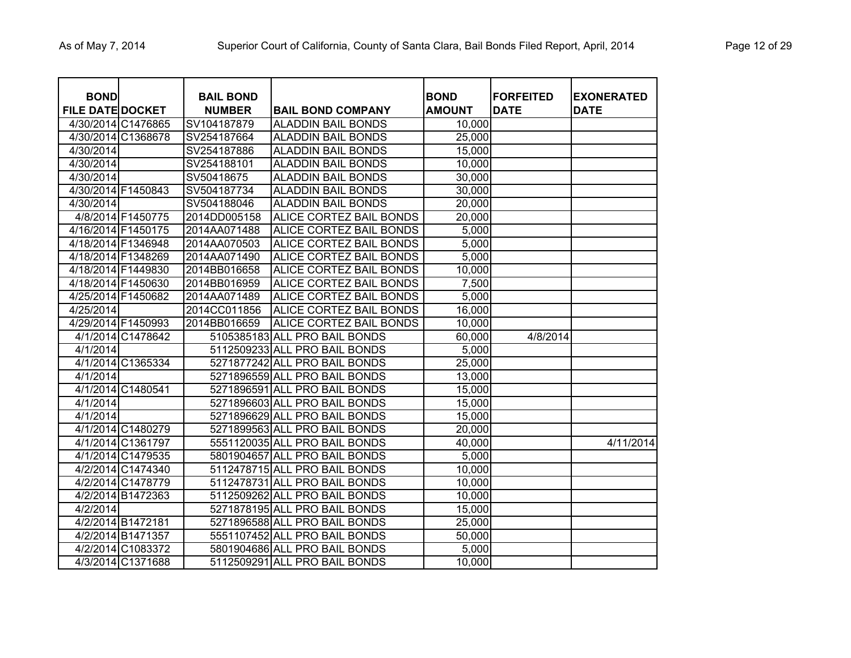| <b>BOND</b><br><b>FILE DATE DOCKET</b> |                    | <b>BAIL BOND</b><br><b>NUMBER</b> | <b>BAIL BOND COMPANY</b>      | <b>BOND</b><br><b>AMOUNT</b> | <b>FORFEITED</b><br><b>DATE</b> | <b>EXONERATED</b><br><b>DATE</b> |
|----------------------------------------|--------------------|-----------------------------------|-------------------------------|------------------------------|---------------------------------|----------------------------------|
|                                        | 4/30/2014 C1476865 | SV104187879                       | <b>ALADDIN BAIL BONDS</b>     | 10,000                       |                                 |                                  |
|                                        | 4/30/2014 C1368678 | SV254187664                       | <b>ALADDIN BAIL BONDS</b>     | 25,000                       |                                 |                                  |
| 4/30/2014                              |                    | SV254187886                       | <b>ALADDIN BAIL BONDS</b>     | 15,000                       |                                 |                                  |
| 4/30/2014                              |                    | SV254188101                       | <b>ALADDIN BAIL BONDS</b>     | 10,000                       |                                 |                                  |
| 4/30/2014                              |                    | SV50418675                        | <b>ALADDIN BAIL BONDS</b>     | 30,000                       |                                 |                                  |
| 4/30/2014 F1450843                     |                    | SV504187734                       | <b>ALADDIN BAIL BONDS</b>     | 30,000                       |                                 |                                  |
| 4/30/2014                              |                    | SV504188046                       | <b>ALADDIN BAIL BONDS</b>     | 20,000                       |                                 |                                  |
|                                        | 4/8/2014 F1450775  | 2014DD005158                      | ALICE CORTEZ BAIL BONDS       | 20,000                       |                                 |                                  |
| 4/16/2014 F1450175                     |                    | 2014AA071488                      | ALICE CORTEZ BAIL BONDS       | 5,000                        |                                 |                                  |
| 4/18/2014 F1346948                     |                    | 2014AA070503                      | ALICE CORTEZ BAIL BONDS       | 5,000                        |                                 |                                  |
| 4/18/2014 F1348269                     |                    | 2014AA071490                      | ALICE CORTEZ BAIL BONDS       | 5,000                        |                                 |                                  |
| 4/18/2014 F1449830                     |                    | 2014BB016658                      | ALICE CORTEZ BAIL BONDS       | 10,000                       |                                 |                                  |
| 4/18/2014 F1450630                     |                    | 2014BB016959                      | ALICE CORTEZ BAIL BONDS       | 7,500                        |                                 |                                  |
| 4/25/2014 F1450682                     |                    | 2014AA071489                      | ALICE CORTEZ BAIL BONDS       | 5,000                        |                                 |                                  |
| 4/25/2014                              |                    | 2014CC011856                      | ALICE CORTEZ BAIL BONDS       | 16,000                       |                                 |                                  |
| 4/29/2014 F1450993                     |                    | 2014BB016659                      | ALICE CORTEZ BAIL BONDS       | 10,000                       |                                 |                                  |
|                                        | 4/1/2014 C1478642  |                                   | 5105385183 ALL PRO BAIL BONDS | 60,000                       | 4/8/2014                        |                                  |
| $\frac{4}{12014}$                      |                    |                                   | 5112509233 ALL PRO BAIL BONDS | 5,000                        |                                 |                                  |
|                                        | 4/1/2014 C1365334  |                                   | 5271877242 ALL PRO BAIL BONDS | 25,000                       |                                 |                                  |
| 4/1/2014                               |                    |                                   | 5271896559 ALL PRO BAIL BONDS | 13,000                       |                                 |                                  |
|                                        | 4/1/2014 C1480541  |                                   | 5271896591 ALL PRO BAIL BONDS | 15,000                       |                                 |                                  |
| 4/1/2014                               |                    |                                   | 5271896603 ALL PRO BAIL BONDS | 15,000                       |                                 |                                  |
| 4/1/2014                               |                    |                                   | 5271896629 ALL PRO BAIL BONDS | 15,000                       |                                 |                                  |
|                                        | 4/1/2014 C1480279  |                                   | 5271899563 ALL PRO BAIL BONDS | 20,000                       |                                 |                                  |
|                                        | 4/1/2014 C1361797  |                                   | 5551120035 ALL PRO BAIL BONDS | 40,000                       |                                 | 4/11/2014                        |
|                                        | 4/1/2014 C1479535  |                                   | 5801904657 ALL PRO BAIL BONDS | 5,000                        |                                 |                                  |
|                                        | 4/2/2014 C1474340  |                                   | 5112478715 ALL PRO BAIL BONDS | 10,000                       |                                 |                                  |
|                                        | 4/2/2014 C1478779  |                                   | 5112478731 ALL PRO BAIL BONDS | 10,000                       |                                 |                                  |
|                                        | 4/2/2014 B1472363  |                                   | 5112509262 ALL PRO BAIL BONDS | 10,000                       |                                 |                                  |
| 4/2/2014                               |                    |                                   | 5271878195 ALL PRO BAIL BONDS | 15,000                       |                                 |                                  |
|                                        | 4/2/2014 B1472181  |                                   | 5271896588 ALL PRO BAIL BONDS | 25,000                       |                                 |                                  |
|                                        | 4/2/2014 B1471357  |                                   | 5551107452 ALL PRO BAIL BONDS | 50,000                       |                                 |                                  |
|                                        | 4/2/2014 C1083372  |                                   | 5801904686 ALL PRO BAIL BONDS | 5,000                        |                                 |                                  |
|                                        | 4/3/2014 C1371688  |                                   | 5112509291 ALL PRO BAIL BONDS | 10,000                       |                                 |                                  |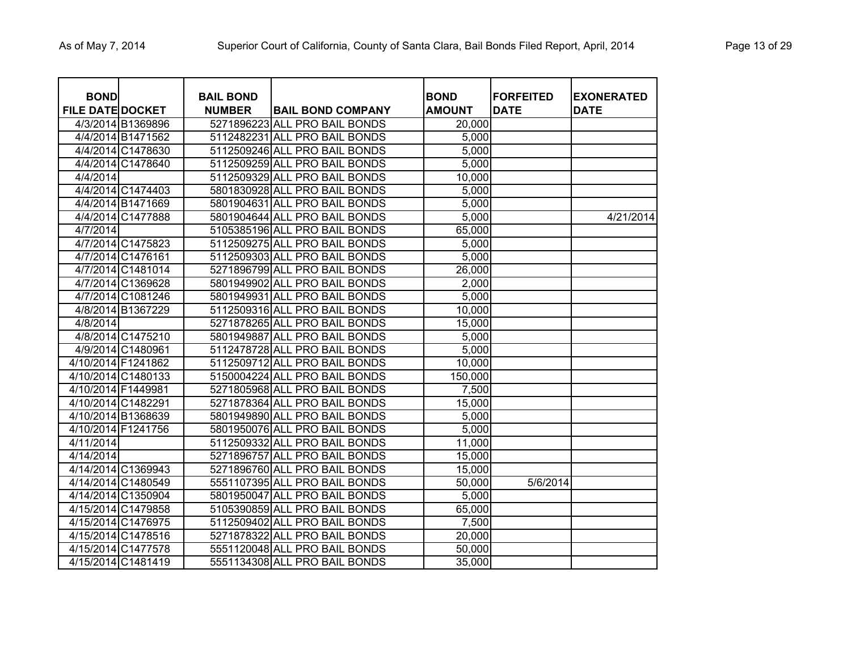| <b>BOND</b>             |                    | <b>BAIL BOND</b> |                               | <b>BOND</b>   | <b>FORFEITED</b> | <b>EXONERATED</b> |
|-------------------------|--------------------|------------------|-------------------------------|---------------|------------------|-------------------|
| <b>FILE DATE DOCKET</b> |                    | <b>NUMBER</b>    | <b>BAIL BOND COMPANY</b>      | <b>AMOUNT</b> | <b>DATE</b>      | <b>DATE</b>       |
|                         | 4/3/2014 B1369896  |                  | 5271896223 ALL PRO BAIL BONDS | 20,000        |                  |                   |
|                         | 4/4/2014 B1471562  |                  | 5112482231 ALL PRO BAIL BONDS | 5,000         |                  |                   |
|                         | 4/4/2014 C1478630  |                  | 5112509246 ALL PRO BAIL BONDS | 5,000         |                  |                   |
|                         | 4/4/2014 C1478640  |                  | 5112509259 ALL PRO BAIL BONDS | 5,000         |                  |                   |
| 4/4/2014                |                    |                  | 5112509329 ALL PRO BAIL BONDS | 10,000        |                  |                   |
|                         | 4/4/2014 C1474403  |                  | 5801830928 ALL PRO BAIL BONDS | 5,000         |                  |                   |
|                         | 4/4/2014 B1471669  |                  | 5801904631 ALL PRO BAIL BONDS | 5,000         |                  |                   |
|                         | 4/4/2014 C1477888  |                  | 5801904644 ALL PRO BAIL BONDS | 5,000         |                  | 4/21/2014         |
| 4/7/2014                |                    |                  | 5105385196 ALL PRO BAIL BONDS | 65,000        |                  |                   |
|                         | 4/7/2014 C1475823  |                  | 5112509275 ALL PRO BAIL BONDS | 5,000         |                  |                   |
|                         | 4/7/2014 C1476161  |                  | 5112509303 ALL PRO BAIL BONDS | 5,000         |                  |                   |
|                         | 4/7/2014 C1481014  |                  | 5271896799 ALL PRO BAIL BONDS | 26,000        |                  |                   |
|                         | 4/7/2014 C1369628  |                  | 5801949902 ALL PRO BAIL BONDS | 2,000         |                  |                   |
|                         | 4/7/2014 C1081246  |                  | 5801949931 ALL PRO BAIL BONDS | 5,000         |                  |                   |
|                         | 4/8/2014 B1367229  |                  | 5112509316 ALL PRO BAIL BONDS | 10,000        |                  |                   |
| 4/8/2014                |                    |                  | 5271878265 ALL PRO BAIL BONDS | 15,000        |                  |                   |
|                         | 4/8/2014 C1475210  |                  | 5801949887 ALL PRO BAIL BONDS | 5,000         |                  |                   |
|                         | 4/9/2014 C1480961  |                  | 5112478728 ALL PRO BAIL BONDS | 5,000         |                  |                   |
| 4/10/2014 F1241862      |                    |                  | 5112509712 ALL PRO BAIL BONDS | 10,000        |                  |                   |
| 4/10/2014 C1480133      |                    |                  | 5150004224 ALL PRO BAIL BONDS | 150,000       |                  |                   |
| 4/10/2014 F1449981      |                    |                  | 5271805968 ALL PRO BAIL BONDS | 7,500         |                  |                   |
| 4/10/2014 C1482291      |                    |                  | 5271878364 ALL PRO BAIL BONDS | 15,000        |                  |                   |
| 4/10/2014 B1368639      |                    |                  | 5801949890 ALL PRO BAIL BONDS | 5,000         |                  |                   |
| 4/10/2014 F1241756      |                    |                  | 5801950076 ALL PRO BAIL BONDS | 5,000         |                  |                   |
| 4/11/2014               |                    |                  | 5112509332 ALL PRO BAIL BONDS | 11,000        |                  |                   |
| 4/14/2014               |                    |                  | 5271896757 ALL PRO BAIL BONDS | 15,000        |                  |                   |
| 4/14/2014 C1369943      |                    |                  | 5271896760 ALL PRO BAIL BONDS | 15,000        |                  |                   |
| 4/14/2014 C1480549      |                    |                  | 5551107395 ALL PRO BAIL BONDS | 50,000        | 5/6/2014         |                   |
|                         | 4/14/2014 C1350904 |                  | 5801950047 ALL PRO BAIL BONDS | 5,000         |                  |                   |
| 4/15/2014 C1479858      |                    |                  | 5105390859 ALL PRO BAIL BONDS | 65,000        |                  |                   |
| 4/15/2014 C1476975      |                    |                  | 5112509402 ALL PRO BAIL BONDS | 7,500         |                  |                   |
| 4/15/2014 C1478516      |                    |                  | 5271878322 ALL PRO BAIL BONDS | 20,000        |                  |                   |
|                         | 4/15/2014 C1477578 |                  | 5551120048 ALL PRO BAIL BONDS | 50,000        |                  |                   |
| 4/15/2014 C1481419      |                    |                  | 5551134308 ALL PRO BAIL BONDS | 35,000        |                  |                   |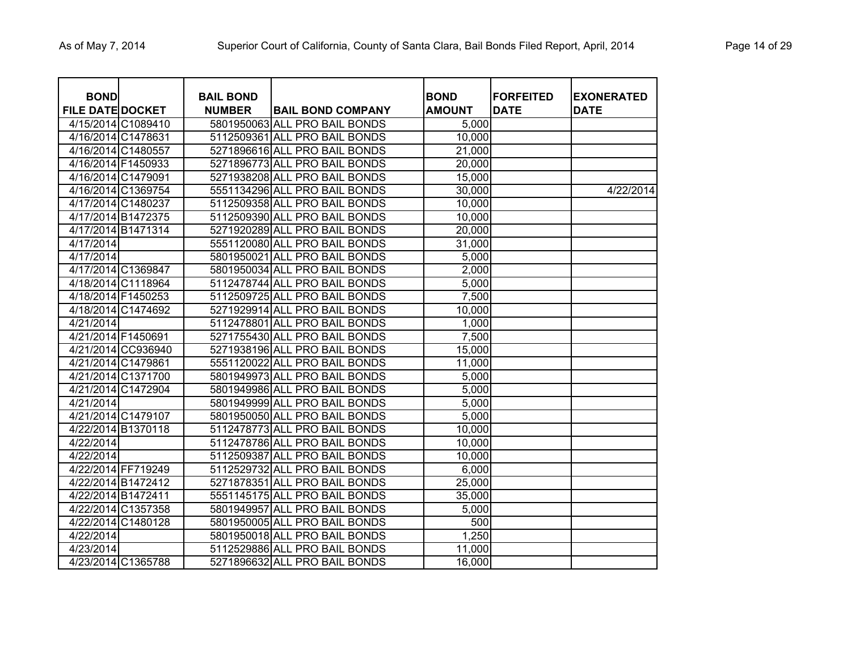| <b>BOND</b><br><b>FILE DATE DOCKET</b> |                    | <b>BAIL BOND</b><br><b>NUMBER</b> | <b>BAIL BOND COMPANY</b>      | <b>BOND</b><br><b>AMOUNT</b> | <b>FORFEITED</b><br><b>DATE</b> | <b>EXONERATED</b><br><b>DATE</b> |
|----------------------------------------|--------------------|-----------------------------------|-------------------------------|------------------------------|---------------------------------|----------------------------------|
| 4/15/2014 C1089410                     |                    |                                   | 5801950063 ALL PRO BAIL BONDS | 5,000                        |                                 |                                  |
| 4/16/2014 C1478631                     |                    |                                   | 5112509361 ALL PRO BAIL BONDS | 10,000                       |                                 |                                  |
| 4/16/2014 C1480557                     |                    |                                   | 5271896616 ALL PRO BAIL BONDS | 21,000                       |                                 |                                  |
| 4/16/2014 F1450933                     |                    |                                   | 5271896773 ALL PRO BAIL BONDS | 20,000                       |                                 |                                  |
| 4/16/2014 C1479091                     |                    |                                   | 5271938208 ALL PRO BAIL BONDS | 15,000                       |                                 |                                  |
|                                        | 4/16/2014 C1369754 |                                   | 5551134296 ALL PRO BAIL BONDS | 30,000                       |                                 | 4/22/2014                        |
| 4/17/2014 C1480237                     |                    |                                   | 5112509358 ALL PRO BAIL BONDS | 10,000                       |                                 |                                  |
| 4/17/2014 B1472375                     |                    |                                   | 5112509390 ALL PRO BAIL BONDS | 10,000                       |                                 |                                  |
| 4/17/2014 B1471314                     |                    |                                   | 5271920289 ALL PRO BAIL BONDS | 20,000                       |                                 |                                  |
| 4/17/2014                              |                    |                                   | 5551120080 ALL PRO BAIL BONDS | 31,000                       |                                 |                                  |
| 4/17/2014                              |                    |                                   | 5801950021 ALL PRO BAIL BONDS | 5,000                        |                                 |                                  |
| 4/17/2014 C1369847                     |                    |                                   | 5801950034 ALL PRO BAIL BONDS | 2,000                        |                                 |                                  |
|                                        | 4/18/2014 C1118964 |                                   | 5112478744 ALL PRO BAIL BONDS | 5,000                        |                                 |                                  |
| 4/18/2014 F1450253                     |                    |                                   | 5112509725 ALL PRO BAIL BONDS | 7,500                        |                                 |                                  |
| 4/18/2014 C1474692                     |                    |                                   | 5271929914 ALL PRO BAIL BONDS | 10,000                       |                                 |                                  |
| 4/21/2014                              |                    |                                   | 5112478801 ALL PRO BAIL BONDS | 1,000                        |                                 |                                  |
| 4/21/2014 F1450691                     |                    |                                   | 5271755430 ALL PRO BAIL BONDS | 7,500                        |                                 |                                  |
|                                        | 4/21/2014 CC936940 |                                   | 5271938196 ALL PRO BAIL BONDS | 15,000                       |                                 |                                  |
| 4/21/2014 C1479861                     |                    |                                   | 5551120022 ALL PRO BAIL BONDS | 11,000                       |                                 |                                  |
| 4/21/2014 C1371700                     |                    |                                   | 5801949973 ALL PRO BAIL BONDS | 5,000                        |                                 |                                  |
|                                        | 4/21/2014 C1472904 |                                   | 5801949986 ALL PRO BAIL BONDS | 5,000                        |                                 |                                  |
| 4/21/2014                              |                    |                                   | 5801949999 ALL PRO BAIL BONDS | 5,000                        |                                 |                                  |
| 4/21/2014 C1479107                     |                    |                                   | 5801950050 ALL PRO BAIL BONDS | 5,000                        |                                 |                                  |
| 4/22/2014 B1370118                     |                    |                                   | 5112478773 ALL PRO BAIL BONDS | 10,000                       |                                 |                                  |
| 4/22/2014                              |                    |                                   | 5112478786 ALL PRO BAIL BONDS | 10,000                       |                                 |                                  |
| 4/22/2014                              |                    |                                   | 5112509387 ALL PRO BAIL BONDS | 10,000                       |                                 |                                  |
| 4/22/2014 FF719249                     |                    |                                   | 5112529732 ALL PRO BAIL BONDS | 6,000                        |                                 |                                  |
| 4/22/2014 B1472412                     |                    |                                   | 5271878351 ALL PRO BAIL BONDS | 25,000                       |                                 |                                  |
| 4/22/2014 B1472411                     |                    |                                   | 5551145175 ALL PRO BAIL BONDS | 35,000                       |                                 |                                  |
| 4/22/2014 C1357358                     |                    |                                   | 5801949957 ALL PRO BAIL BONDS | 5,000                        |                                 |                                  |
|                                        | 4/22/2014 C1480128 |                                   | 5801950005 ALL PRO BAIL BONDS | 500                          |                                 |                                  |
| 4/22/2014                              |                    |                                   | 5801950018 ALL PRO BAIL BONDS | 1,250                        |                                 |                                  |
| 4/23/2014                              |                    |                                   | 5112529886 ALL PRO BAIL BONDS | 11,000                       |                                 |                                  |
| 4/23/2014 C1365788                     |                    |                                   | 5271896632 ALL PRO BAIL BONDS | 16,000                       |                                 |                                  |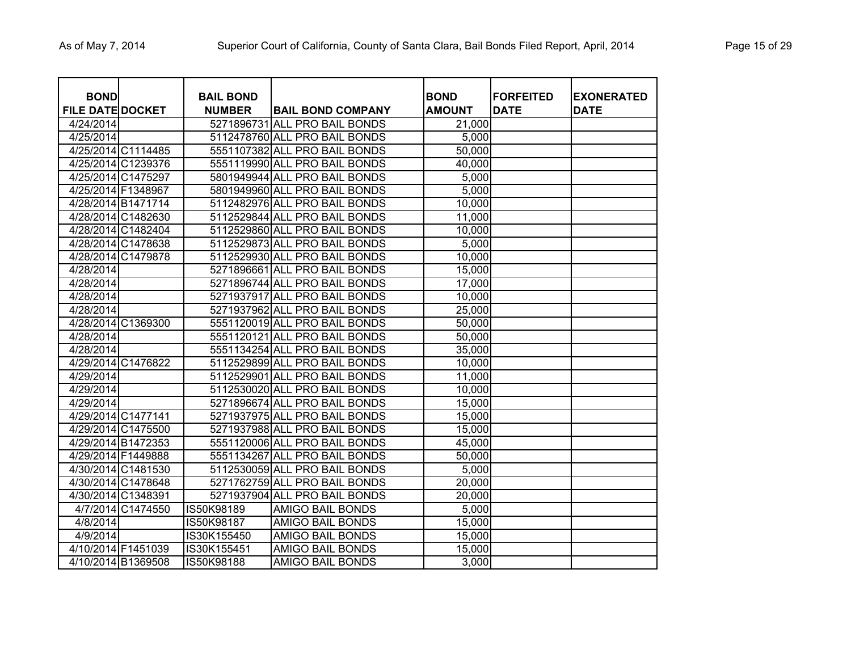| <b>BOND</b><br><b>FILE DATE DOCKET</b> |                    | <b>BAIL BOND</b><br><b>NUMBER</b> | <b>BAIL BOND COMPANY</b>      | <b>BOND</b><br><b>AMOUNT</b> | <b>FORFEITED</b><br><b>DATE</b> | <b>EXONERATED</b><br>DATE |
|----------------------------------------|--------------------|-----------------------------------|-------------------------------|------------------------------|---------------------------------|---------------------------|
| 4/24/2014                              |                    |                                   | 5271896731 ALL PRO BAIL BONDS | 21,000                       |                                 |                           |
| 4/25/2014                              |                    |                                   | 5112478760 ALL PRO BAIL BONDS | 5,000                        |                                 |                           |
|                                        | 4/25/2014 C1114485 |                                   | 5551107382 ALL PRO BAIL BONDS | 50,000                       |                                 |                           |
|                                        | 4/25/2014 C1239376 |                                   | 5551119990 ALL PRO BAIL BONDS | 40,000                       |                                 |                           |
|                                        | 4/25/2014 C1475297 |                                   | 5801949944 ALL PRO BAIL BONDS | 5,000                        |                                 |                           |
| 4/25/2014 F1348967                     |                    |                                   | 5801949960 ALL PRO BAIL BONDS | 5,000                        |                                 |                           |
|                                        | 4/28/2014 B1471714 |                                   | 5112482976 ALL PRO BAIL BONDS | 10,000                       |                                 |                           |
|                                        | 4/28/2014 C1482630 |                                   | 5112529844 ALL PRO BAIL BONDS | 11,000                       |                                 |                           |
|                                        | 4/28/2014 C1482404 |                                   | 5112529860 ALL PRO BAIL BONDS | 10,000                       |                                 |                           |
|                                        | 4/28/2014 C1478638 |                                   | 5112529873 ALL PRO BAIL BONDS | 5,000                        |                                 |                           |
|                                        | 4/28/2014 C1479878 |                                   | 5112529930 ALL PRO BAIL BONDS | 10,000                       |                                 |                           |
| 4/28/2014                              |                    |                                   | 5271896661 ALL PRO BAIL BONDS | 15,000                       |                                 |                           |
| 4/28/2014                              |                    |                                   | 5271896744 ALL PRO BAIL BONDS | 17,000                       |                                 |                           |
| $\frac{4}{28/2014}$                    |                    |                                   | 5271937917 ALL PRO BAIL BONDS | 10,000                       |                                 |                           |
| 4/28/2014                              |                    |                                   | 5271937962 ALL PRO BAIL BONDS | 25,000                       |                                 |                           |
|                                        | 4/28/2014 C1369300 |                                   | 5551120019 ALL PRO BAIL BONDS | 50,000                       |                                 |                           |
| 4/28/2014                              |                    |                                   | 5551120121 ALL PRO BAIL BONDS | 50,000                       |                                 |                           |
| 4/28/2014                              |                    |                                   | 5551134254 ALL PRO BAIL BONDS | 35,000                       |                                 |                           |
|                                        | 4/29/2014 C1476822 |                                   | 5112529899 ALL PRO BAIL BONDS | 10,000                       |                                 |                           |
| 4/29/2014                              |                    |                                   | 5112529901 ALL PRO BAIL BONDS | 11,000                       |                                 |                           |
| 4/29/2014                              |                    |                                   | 5112530020 ALL PRO BAIL BONDS | 10,000                       |                                 |                           |
| 4/29/2014                              |                    |                                   | 5271896674 ALL PRO BAIL BONDS | 15,000                       |                                 |                           |
|                                        | 4/29/2014 C1477141 |                                   | 5271937975 ALL PRO BAIL BONDS | 15,000                       |                                 |                           |
|                                        | 4/29/2014 C1475500 |                                   | 5271937988 ALL PRO BAIL BONDS | 15,000                       |                                 |                           |
|                                        | 4/29/2014 B1472353 |                                   | 5551120006 ALL PRO BAIL BONDS | 45,000                       |                                 |                           |
|                                        | 4/29/2014 F1449888 |                                   | 5551134267 ALL PRO BAIL BONDS | 50,000                       |                                 |                           |
|                                        | 4/30/2014 C1481530 |                                   | 5112530059 ALL PRO BAIL BONDS | 5,000                        |                                 |                           |
|                                        | 4/30/2014 C1478648 |                                   | 5271762759 ALL PRO BAIL BONDS | 20,000                       |                                 |                           |
|                                        | 4/30/2014 C1348391 |                                   | 5271937904 ALL PRO BAIL BONDS | 20,000                       |                                 |                           |
|                                        | 4/7/2014 C1474550  | IS50K98189                        | AMIGO BAIL BONDS              | 5,000                        |                                 |                           |
| 4/8/2014                               |                    | IS50K98187                        | <b>AMIGO BAIL BONDS</b>       | 15,000                       |                                 |                           |
| 4/9/2014                               |                    | IS30K155450                       | <b>AMIGO BAIL BONDS</b>       | 15,000                       |                                 |                           |
|                                        | 4/10/2014 F1451039 | IS30K155451                       | <b>AMIGO BAIL BONDS</b>       | 15,000                       |                                 |                           |
|                                        | 4/10/2014 B1369508 | IS50K98188                        | <b>AMIGO BAIL BONDS</b>       | 3,000                        |                                 |                           |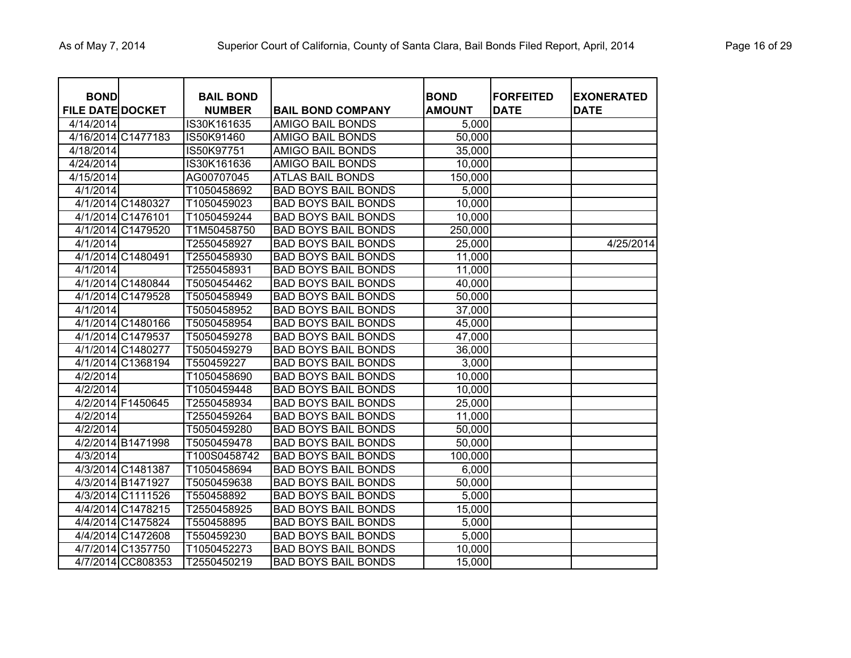| <b>BOND</b><br><b>FILE DATE DOCKET</b> |                    | <b>BAIL BOND</b><br><b>NUMBER</b> | <b>BAIL BOND COMPANY</b>   | <b>BOND</b><br><b>AMOUNT</b> | <b>FORFEITED</b><br><b>DATE</b> | <b>EXONERATED</b><br><b>DATE</b> |
|----------------------------------------|--------------------|-----------------------------------|----------------------------|------------------------------|---------------------------------|----------------------------------|
| 4/14/2014                              |                    | IS30K161635                       | <b>AMIGO BAIL BONDS</b>    | 5,000                        |                                 |                                  |
|                                        | 4/16/2014 C1477183 | IS50K91460                        | <b>AMIGO BAIL BONDS</b>    | 50,000                       |                                 |                                  |
| 4/18/2014                              |                    | IS50K97751                        | <b>AMIGO BAIL BONDS</b>    | 35,000                       |                                 |                                  |
| 4/24/2014                              |                    | IS30K161636                       | <b>AMIGO BAIL BONDS</b>    | 10,000                       |                                 |                                  |
| 4/15/2014                              |                    | AG00707045                        | <b>ATLAS BAIL BONDS</b>    | 150,000                      |                                 |                                  |
| 4/1/2014                               |                    | T1050458692                       | <b>BAD BOYS BAIL BONDS</b> | 5,000                        |                                 |                                  |
|                                        | 4/1/2014 C1480327  | T1050459023                       | <b>BAD BOYS BAIL BONDS</b> | 10,000                       |                                 |                                  |
|                                        | 4/1/2014 C1476101  | T1050459244                       | <b>BAD BOYS BAIL BONDS</b> | 10,000                       |                                 |                                  |
|                                        | 4/1/2014 C1479520  | T1M50458750                       | <b>BAD BOYS BAIL BONDS</b> | 250,000                      |                                 |                                  |
| 4/1/2014                               |                    | T2550458927                       | <b>BAD BOYS BAIL BONDS</b> | 25,000                       |                                 | 4/25/2014                        |
|                                        | 4/1/2014 C1480491  | T2550458930                       | <b>BAD BOYS BAIL BONDS</b> | 11,000                       |                                 |                                  |
| 4/1/2014                               |                    | T2550458931                       | <b>BAD BOYS BAIL BONDS</b> | 11,000                       |                                 |                                  |
|                                        | 4/1/2014 C1480844  | T5050454462                       | <b>BAD BOYS BAIL BONDS</b> | 40,000                       |                                 |                                  |
|                                        | 4/1/2014 C1479528  | T5050458949                       | <b>BAD BOYS BAIL BONDS</b> | 50,000                       |                                 |                                  |
| 4/1/2014                               |                    | T5050458952                       | <b>BAD BOYS BAIL BONDS</b> | 37,000                       |                                 |                                  |
|                                        | 4/1/2014 C1480166  | T5050458954                       | <b>BAD BOYS BAIL BONDS</b> | 45,000                       |                                 |                                  |
|                                        | 4/1/2014 C1479537  | T5050459278                       | <b>BAD BOYS BAIL BONDS</b> | 47,000                       |                                 |                                  |
|                                        | 4/1/2014 C1480277  | T5050459279                       | <b>BAD BOYS BAIL BONDS</b> | 36,000                       |                                 |                                  |
|                                        | 4/1/2014 C1368194  | T550459227                        | <b>BAD BOYS BAIL BONDS</b> | 3,000                        |                                 |                                  |
| 4/2/2014                               |                    | T1050458690                       | <b>BAD BOYS BAIL BONDS</b> | 10,000                       |                                 |                                  |
| 4/2/2014                               |                    | T1050459448                       | <b>BAD BOYS BAIL BONDS</b> | 10,000                       |                                 |                                  |
|                                        | 4/2/2014 F1450645  | T2550458934                       | <b>BAD BOYS BAIL BONDS</b> | 25,000                       |                                 |                                  |
| 4/2/2014                               |                    | T2550459264                       | <b>BAD BOYS BAIL BONDS</b> | 11,000                       |                                 |                                  |
| 4/2/2014                               |                    | T5050459280                       | <b>BAD BOYS BAIL BONDS</b> | 50,000                       |                                 |                                  |
|                                        | 4/2/2014 B1471998  | T5050459478                       | <b>BAD BOYS BAIL BONDS</b> | 50,000                       |                                 |                                  |
| 4/3/2014                               |                    | T100S0458742                      | <b>BAD BOYS BAIL BONDS</b> | 100,000                      |                                 |                                  |
|                                        | 4/3/2014 C1481387  | T1050458694                       | <b>BAD BOYS BAIL BONDS</b> | 6,000                        |                                 |                                  |
|                                        | 4/3/2014 B1471927  | T5050459638                       | <b>BAD BOYS BAIL BONDS</b> | 50,000                       |                                 |                                  |
|                                        | 4/3/2014 C1111526  | T550458892                        | <b>BAD BOYS BAIL BONDS</b> | 5,000                        |                                 |                                  |
|                                        | 4/4/2014 C1478215  | T2550458925                       | <b>BAD BOYS BAIL BONDS</b> | 15,000                       |                                 |                                  |
|                                        | 4/4/2014 C1475824  | T550458895                        | <b>BAD BOYS BAIL BONDS</b> | 5,000                        |                                 |                                  |
|                                        | 4/4/2014 C1472608  | T550459230                        | <b>BAD BOYS BAIL BONDS</b> | 5,000                        |                                 |                                  |
|                                        | 4/7/2014 C1357750  | T1050452273                       | <b>BAD BOYS BAIL BONDS</b> | 10,000                       |                                 |                                  |
|                                        | 4/7/2014 CC808353  | T2550450219                       | <b>BAD BOYS BAIL BONDS</b> | 15,000                       |                                 |                                  |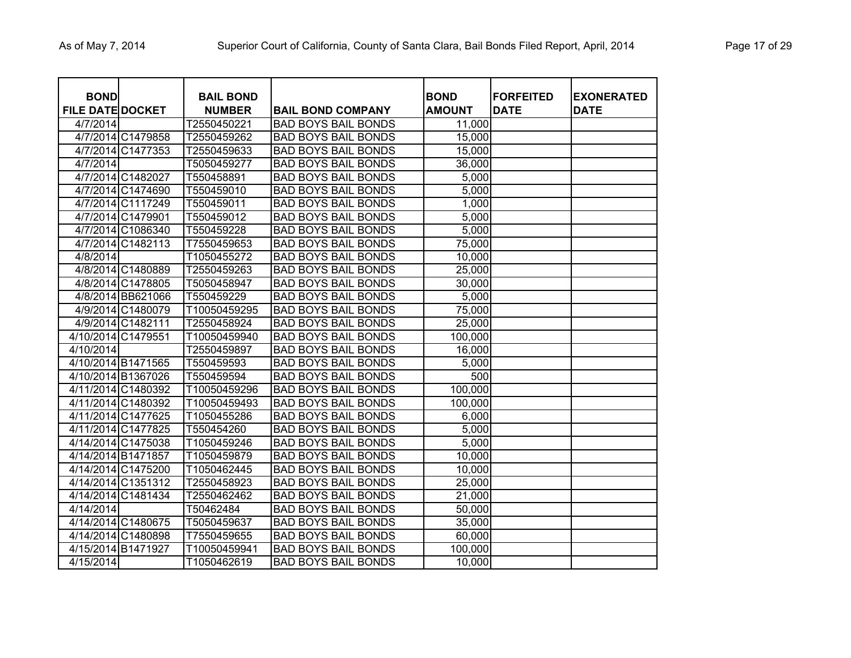| <b>BOND</b><br><b>FILE DATE DOCKET</b> |                    | <b>BAIL BOND</b><br><b>NUMBER</b> | <b>BAIL BOND COMPANY</b>   | <b>BOND</b><br><b>AMOUNT</b> | <b>FORFEITED</b><br><b>DATE</b> | <b>EXONERATED</b><br><b>DATE</b> |
|----------------------------------------|--------------------|-----------------------------------|----------------------------|------------------------------|---------------------------------|----------------------------------|
| 4/7/2014                               |                    | T2550450221                       | <b>BAD BOYS BAIL BONDS</b> | 11,000                       |                                 |                                  |
|                                        | 4/7/2014 C1479858  | T2550459262                       | <b>BAD BOYS BAIL BONDS</b> | 15,000                       |                                 |                                  |
|                                        | 4/7/2014 C1477353  | T2550459633                       | <b>BAD BOYS BAIL BONDS</b> | 15,000                       |                                 |                                  |
| 4/7/2014                               |                    | T5050459277                       | <b>BAD BOYS BAIL BONDS</b> | 36,000                       |                                 |                                  |
|                                        | 4/7/2014 C1482027  | T550458891                        | <b>BAD BOYS BAIL BONDS</b> | 5,000                        |                                 |                                  |
|                                        | 4/7/2014 C1474690  | T550459010                        | <b>BAD BOYS BAIL BONDS</b> | 5,000                        |                                 |                                  |
|                                        | 4/7/2014 C1117249  | T550459011                        | <b>BAD BOYS BAIL BONDS</b> | 1,000                        |                                 |                                  |
|                                        | 4/7/2014 C1479901  | T550459012                        | <b>BAD BOYS BAIL BONDS</b> | 5,000                        |                                 |                                  |
|                                        | 4/7/2014 C1086340  | T550459228                        | <b>BAD BOYS BAIL BONDS</b> | 5,000                        |                                 |                                  |
|                                        | 4/7/2014 C1482113  | T7550459653                       | <b>BAD BOYS BAIL BONDS</b> | 75,000                       |                                 |                                  |
| 4/8/2014                               |                    | T1050455272                       | <b>BAD BOYS BAIL BONDS</b> | 10,000                       |                                 |                                  |
|                                        | 4/8/2014 C1480889  | T2550459263                       | <b>BAD BOYS BAIL BONDS</b> | 25,000                       |                                 |                                  |
|                                        | 4/8/2014 C1478805  | T5050458947                       | <b>BAD BOYS BAIL BONDS</b> | 30,000                       |                                 |                                  |
|                                        | 4/8/2014 BB621066  | T550459229                        | <b>BAD BOYS BAIL BONDS</b> | 5,000                        |                                 |                                  |
|                                        | 4/9/2014 C1480079  | T10050459295                      | <b>BAD BOYS BAIL BONDS</b> | 75,000                       |                                 |                                  |
|                                        | 4/9/2014 C1482111  | T2550458924                       | <b>BAD BOYS BAIL BONDS</b> | 25,000                       |                                 |                                  |
| 4/10/2014 C1479551                     |                    | T10050459940                      | <b>BAD BOYS BAIL BONDS</b> | 100,000                      |                                 |                                  |
| 4/10/2014                              |                    | T2550459897                       | <b>BAD BOYS BAIL BONDS</b> | 16,000                       |                                 |                                  |
|                                        | 4/10/2014 B1471565 | T550459593                        | <b>BAD BOYS BAIL BONDS</b> | 5,000                        |                                 |                                  |
|                                        | 4/10/2014 B1367026 | T550459594                        | <b>BAD BOYS BAIL BONDS</b> | 500                          |                                 |                                  |
|                                        | 4/11/2014 C1480392 | T10050459296                      | <b>BAD BOYS BAIL BONDS</b> | 100,000                      |                                 |                                  |
|                                        | 4/11/2014 C1480392 | T10050459493                      | <b>BAD BOYS BAIL BONDS</b> | 100,000                      |                                 |                                  |
|                                        | 4/11/2014 C1477625 | T1050455286                       | <b>BAD BOYS BAIL BONDS</b> | 6,000                        |                                 |                                  |
|                                        | 4/11/2014 C1477825 | T550454260                        | <b>BAD BOYS BAIL BONDS</b> | 5,000                        |                                 |                                  |
|                                        | 4/14/2014 C1475038 | T1050459246                       | <b>BAD BOYS BAIL BONDS</b> | 5,000                        |                                 |                                  |
|                                        | 4/14/2014 B1471857 | T1050459879                       | <b>BAD BOYS BAIL BONDS</b> | 10,000                       |                                 |                                  |
|                                        | 4/14/2014 C1475200 | T1050462445                       | <b>BAD BOYS BAIL BONDS</b> | 10,000                       |                                 |                                  |
|                                        | 4/14/2014 C1351312 | T2550458923                       | <b>BAD BOYS BAIL BONDS</b> | 25,000                       |                                 |                                  |
|                                        | 4/14/2014 C1481434 | T2550462462                       | <b>BAD BOYS BAIL BONDS</b> | 21,000                       |                                 |                                  |
| 4/14/2014                              |                    | T50462484                         | <b>BAD BOYS BAIL BONDS</b> | 50,000                       |                                 |                                  |
|                                        | 4/14/2014 C1480675 | T5050459637                       | <b>BAD BOYS BAIL BONDS</b> | 35,000                       |                                 |                                  |
|                                        | 4/14/2014 C1480898 | T7550459655                       | <b>BAD BOYS BAIL BONDS</b> | 60,000                       |                                 |                                  |
| 4/15/2014 B1471927                     |                    | T10050459941                      | <b>BAD BOYS BAIL BONDS</b> | 100,000                      |                                 |                                  |
| 4/15/2014                              |                    | T1050462619                       | <b>BAD BOYS BAIL BONDS</b> | 10,000                       |                                 |                                  |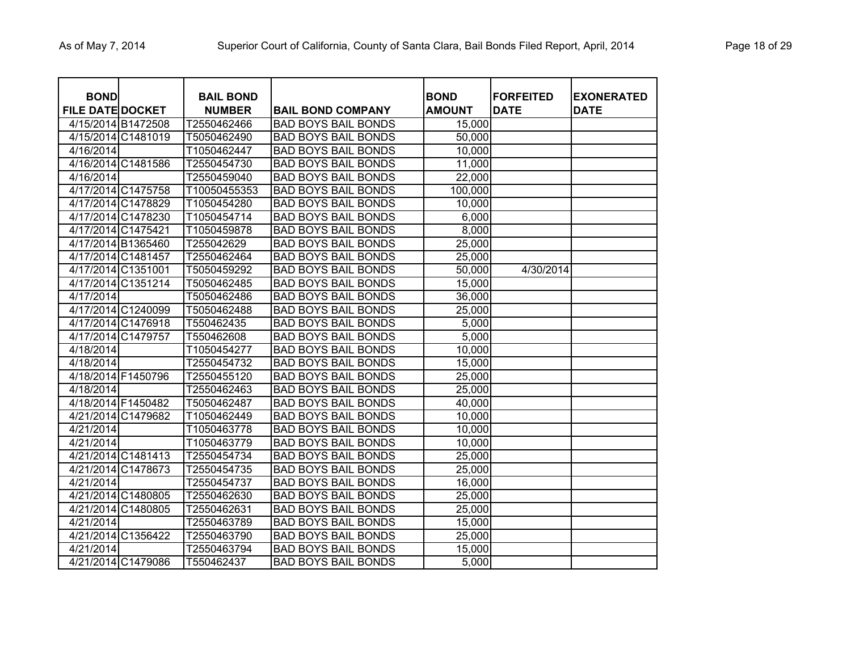| <b>BOND</b><br><b>FILE DATE DOCKET</b> |                    | <b>BAIL BOND</b><br><b>NUMBER</b> | <b>BAIL BOND COMPANY</b>   | <b>BOND</b><br><b>AMOUNT</b> | <b>FORFEITED</b><br><b>DATE</b> | <b>EXONERATED</b><br><b>DATE</b> |
|----------------------------------------|--------------------|-----------------------------------|----------------------------|------------------------------|---------------------------------|----------------------------------|
| 4/15/2014 B1472508                     |                    | T2550462466                       | <b>BAD BOYS BAIL BONDS</b> | 15,000                       |                                 |                                  |
| 4/15/2014 C1481019                     |                    | T5050462490                       | <b>BAD BOYS BAIL BONDS</b> | 50,000                       |                                 |                                  |
| 4/16/2014                              |                    | T1050462447                       | <b>BAD BOYS BAIL BONDS</b> | 10,000                       |                                 |                                  |
| 4/16/2014 C1481586                     |                    | T2550454730                       | <b>BAD BOYS BAIL BONDS</b> | 11,000                       |                                 |                                  |
| 4/16/2014                              |                    | T2550459040                       | <b>BAD BOYS BAIL BONDS</b> | 22,000                       |                                 |                                  |
| 4/17/2014 C1475758                     |                    | T10050455353                      | <b>BAD BOYS BAIL BONDS</b> | 100,000                      |                                 |                                  |
|                                        | 4/17/2014 C1478829 | T1050454280                       | <b>BAD BOYS BAIL BONDS</b> | 10,000                       |                                 |                                  |
| 4/17/2014 C1478230                     |                    | T1050454714                       | <b>BAD BOYS BAIL BONDS</b> | 6,000                        |                                 |                                  |
| 4/17/2014 C1475421                     |                    | T1050459878                       | <b>BAD BOYS BAIL BONDS</b> | 8,000                        |                                 |                                  |
| 4/17/2014 B1365460                     |                    | T255042629                        | <b>BAD BOYS BAIL BONDS</b> | 25,000                       |                                 |                                  |
| 4/17/2014 C1481457                     |                    | T2550462464                       | <b>BAD BOYS BAIL BONDS</b> | 25,000                       |                                 |                                  |
| 4/17/2014 C1351001                     |                    | T5050459292                       | <b>BAD BOYS BAIL BONDS</b> | 50,000                       | 4/30/2014                       |                                  |
|                                        | 4/17/2014 C1351214 | T5050462485                       | <b>BAD BOYS BAIL BONDS</b> | 15,000                       |                                 |                                  |
| 4/17/2014                              |                    | T5050462486                       | <b>BAD BOYS BAIL BONDS</b> | 36,000                       |                                 |                                  |
| 4/17/2014 C1240099                     |                    | T5050462488                       | <b>BAD BOYS BAIL BONDS</b> | 25,000                       |                                 |                                  |
| 4/17/2014 C1476918                     |                    | T550462435                        | <b>BAD BOYS BAIL BONDS</b> | 5,000                        |                                 |                                  |
| 4/17/2014 C1479757                     |                    | T550462608                        | <b>BAD BOYS BAIL BONDS</b> | 5,000                        |                                 |                                  |
| 4/18/2014                              |                    | T1050454277                       | <b>BAD BOYS BAIL BONDS</b> | 10,000                       |                                 |                                  |
| 4/18/2014                              |                    | T2550454732                       | <b>BAD BOYS BAIL BONDS</b> | 15,000                       |                                 |                                  |
| 4/18/2014 F1450796                     |                    | T2550455120                       | <b>BAD BOYS BAIL BONDS</b> | 25,000                       |                                 |                                  |
| 4/18/2014                              |                    | T2550462463                       | <b>BAD BOYS BAIL BONDS</b> | 25,000                       |                                 |                                  |
| 4/18/2014 F1450482                     |                    | T5050462487                       | <b>BAD BOYS BAIL BONDS</b> | 40,000                       |                                 |                                  |
| 4/21/2014 C1479682                     |                    | T1050462449                       | <b>BAD BOYS BAIL BONDS</b> | 10,000                       |                                 |                                  |
| 4/21/2014                              |                    | T1050463778                       | <b>BAD BOYS BAIL BONDS</b> | 10,000                       |                                 |                                  |
| 4/21/2014                              |                    | T1050463779                       | <b>BAD BOYS BAIL BONDS</b> | 10,000                       |                                 |                                  |
|                                        | 4/21/2014 C1481413 | T2550454734                       | <b>BAD BOYS BAIL BONDS</b> | 25,000                       |                                 |                                  |
| 4/21/2014 C1478673                     |                    | T2550454735                       | <b>BAD BOYS BAIL BONDS</b> | 25,000                       |                                 |                                  |
| 4/21/2014                              |                    | T2550454737                       | <b>BAD BOYS BAIL BONDS</b> | 16,000                       |                                 |                                  |
| 4/21/2014 C1480805                     |                    | T2550462630                       | <b>BAD BOYS BAIL BONDS</b> | 25,000                       |                                 |                                  |
| 4/21/2014 C1480805                     |                    | T2550462631                       | <b>BAD BOYS BAIL BONDS</b> | 25,000                       |                                 |                                  |
| 4/21/2014                              |                    | T2550463789                       | <b>BAD BOYS BAIL BONDS</b> | 15,000                       |                                 |                                  |
| 4/21/2014 C1356422                     |                    | T2550463790                       | <b>BAD BOYS BAIL BONDS</b> | 25,000                       |                                 |                                  |
| 4/21/2014                              |                    | T2550463794                       | <b>BAD BOYS BAIL BONDS</b> | 15,000                       |                                 |                                  |
| 4/21/2014 C1479086                     |                    | T550462437                        | <b>BAD BOYS BAIL BONDS</b> | 5,000                        |                                 |                                  |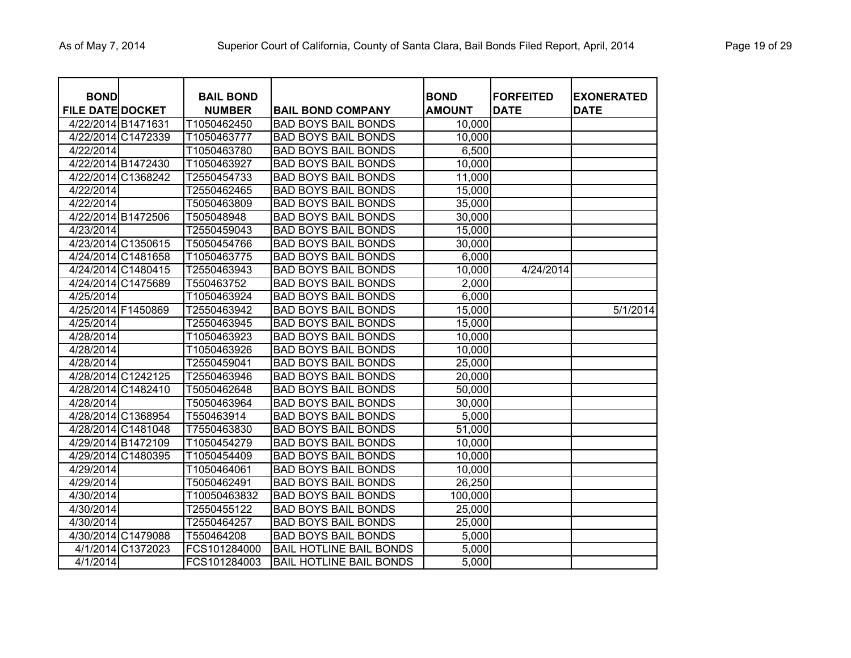| <b>BOND</b><br><b>FILE DATE DOCKET</b> |                    | <b>BAIL BOND</b><br><b>NUMBER</b> | <b>BAIL BOND COMPANY</b>       | <b>BOND</b><br><b>AMOUNT</b> | <b>FORFEITED</b><br><b>DATE</b> | <b>EXONERATED</b><br><b>DATE</b> |
|----------------------------------------|--------------------|-----------------------------------|--------------------------------|------------------------------|---------------------------------|----------------------------------|
| 4/22/2014 B1471631                     |                    | T1050462450                       | <b>BAD BOYS BAIL BONDS</b>     | 10,000                       |                                 |                                  |
|                                        | 4/22/2014 C1472339 | T1050463777                       | <b>BAD BOYS BAIL BONDS</b>     | 10,000                       |                                 |                                  |
| 4/22/2014                              |                    | T1050463780                       | <b>BAD BOYS BAIL BONDS</b>     | 6,500                        |                                 |                                  |
|                                        | 4/22/2014 B1472430 | T1050463927                       | <b>BAD BOYS BAIL BONDS</b>     | 10,000                       |                                 |                                  |
|                                        | 4/22/2014 C1368242 | T2550454733                       | <b>BAD BOYS BAIL BONDS</b>     | 11,000                       |                                 |                                  |
| 4/22/2014                              |                    | T2550462465                       | <b>BAD BOYS BAIL BONDS</b>     | 15,000                       |                                 |                                  |
| 4/22/2014                              |                    | T5050463809                       | <b>BAD BOYS BAIL BONDS</b>     | 35,000                       |                                 |                                  |
|                                        | 4/22/2014 B1472506 | T505048948                        | <b>BAD BOYS BAIL BONDS</b>     | 30,000                       |                                 |                                  |
| 4/23/2014                              |                    | T2550459043                       | <b>BAD BOYS BAIL BONDS</b>     | 15,000                       |                                 |                                  |
|                                        | 4/23/2014 C1350615 | T5050454766                       | <b>BAD BOYS BAIL BONDS</b>     | 30,000                       |                                 |                                  |
|                                        | 4/24/2014 C1481658 | T1050463775                       | <b>BAD BOYS BAIL BONDS</b>     | 6,000                        |                                 |                                  |
|                                        | 4/24/2014 C1480415 | T2550463943                       | <b>BAD BOYS BAIL BONDS</b>     | 10,000                       | 4/24/2014                       |                                  |
|                                        | 4/24/2014 C1475689 | T550463752                        | <b>BAD BOYS BAIL BONDS</b>     | 2,000                        |                                 |                                  |
| 4/25/2014                              |                    | T1050463924                       | <b>BAD BOYS BAIL BONDS</b>     | 6,000                        |                                 |                                  |
| 4/25/2014 F1450869                     |                    | T2550463942                       | <b>BAD BOYS BAIL BONDS</b>     | 15,000                       |                                 | 5/1/2014                         |
| 4/25/2014                              |                    | T2550463945                       | <b>BAD BOYS BAIL BONDS</b>     | 15,000                       |                                 |                                  |
| 4/28/2014                              |                    | T1050463923                       | <b>BAD BOYS BAIL BONDS</b>     | 10,000                       |                                 |                                  |
| 4/28/2014                              |                    | T1050463926                       | <b>BAD BOYS BAIL BONDS</b>     | 10,000                       |                                 |                                  |
| 4/28/2014                              |                    | T2550459041                       | <b>BAD BOYS BAIL BONDS</b>     | 25,000                       |                                 |                                  |
|                                        | 4/28/2014 C1242125 | T2550463946                       | <b>BAD BOYS BAIL BONDS</b>     | 20,000                       |                                 |                                  |
|                                        | 4/28/2014 C1482410 | T5050462648                       | <b>BAD BOYS BAIL BONDS</b>     | 50,000                       |                                 |                                  |
| 4/28/2014                              |                    | T5050463964                       | <b>BAD BOYS BAIL BONDS</b>     | 30,000                       |                                 |                                  |
|                                        | 4/28/2014 C1368954 | T550463914                        | <b>BAD BOYS BAIL BONDS</b>     | 5,000                        |                                 |                                  |
|                                        | 4/28/2014 C1481048 | T7550463830                       | <b>BAD BOYS BAIL BONDS</b>     | 51,000                       |                                 |                                  |
|                                        | 4/29/2014 B1472109 | T1050454279                       | <b>BAD BOYS BAIL BONDS</b>     | 10,000                       |                                 |                                  |
|                                        | 4/29/2014 C1480395 | T1050454409                       | <b>BAD BOYS BAIL BONDS</b>     | 10,000                       |                                 |                                  |
| 4/29/2014                              |                    | T1050464061                       | <b>BAD BOYS BAIL BONDS</b>     | 10,000                       |                                 |                                  |
| 4/29/2014                              |                    | T5050462491                       | <b>BAD BOYS BAIL BONDS</b>     | 26,250                       |                                 |                                  |
| 4/30/2014                              |                    | T10050463832                      | <b>BAD BOYS BAIL BONDS</b>     | 100,000                      |                                 |                                  |
| 4/30/2014                              |                    | T2550455122                       | <b>BAD BOYS BAIL BONDS</b>     | 25,000                       |                                 |                                  |
| 4/30/2014                              |                    | T2550464257                       | <b>BAD BOYS BAIL BONDS</b>     | 25,000                       |                                 |                                  |
|                                        | 4/30/2014 C1479088 | T550464208                        | <b>BAD BOYS BAIL BONDS</b>     | 5,000                        |                                 |                                  |
|                                        | 4/1/2014 C1372023  | FCS101284000                      | <b>BAIL HOTLINE BAIL BONDS</b> | 5,000                        |                                 |                                  |
| 4/1/2014                               |                    | FCS101284003                      | <b>BAIL HOTLINE BAIL BONDS</b> | 5,000                        |                                 |                                  |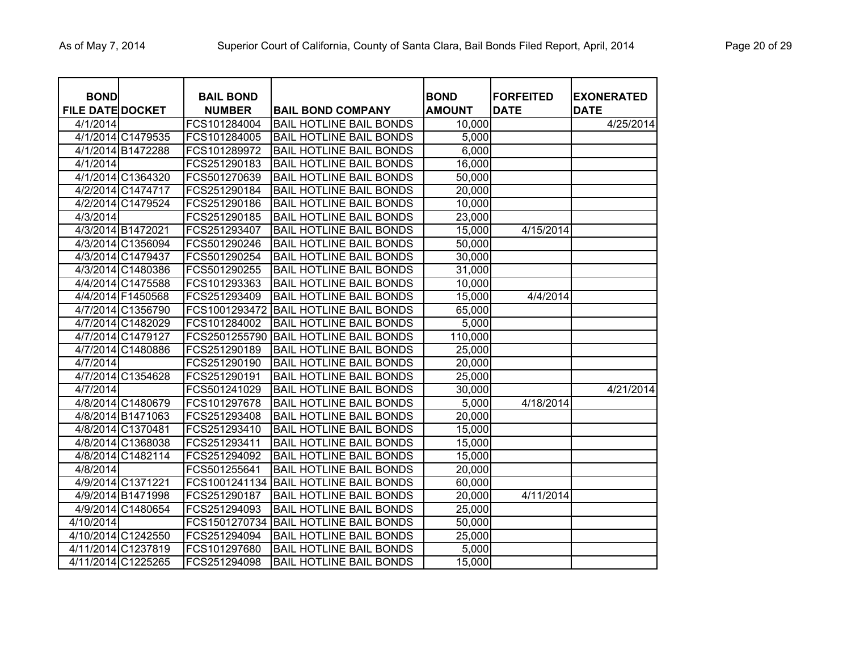| <b>BOND</b><br><b>FILE DATE DOCKET</b> | <b>BAIL BOND</b><br><b>NUMBER</b> | <b>BAIL BOND COMPANY</b>       | <b>BOND</b><br><b>AMOUNT</b> | <b>FORFEITED</b><br><b>DATE</b> | <b>EXONERATED</b><br><b>DATE</b> |
|----------------------------------------|-----------------------------------|--------------------------------|------------------------------|---------------------------------|----------------------------------|
| 4/1/2014                               | FCS101284004                      | <b>BAIL HOTLINE BAIL BONDS</b> | 10,000                       |                                 | 4/25/2014                        |
| 4/1/2014 C1479535                      | FCS101284005                      | <b>BAIL HOTLINE BAIL BONDS</b> | $\overline{5,000}$           |                                 |                                  |
| 4/1/2014 B1472288                      | FCS101289972                      | <b>BAIL HOTLINE BAIL BONDS</b> | 6,000                        |                                 |                                  |
| 4/1/2014                               | FCS251290183                      | <b>BAIL HOTLINE BAIL BONDS</b> | 16,000                       |                                 |                                  |
| 4/1/2014 C1364320                      | FCS501270639                      | <b>BAIL HOTLINE BAIL BONDS</b> | 50,000                       |                                 |                                  |
| 4/2/2014 C1474717                      | FCS251290184                      | <b>BAIL HOTLINE BAIL BONDS</b> | 20,000                       |                                 |                                  |
| 4/2/2014 C1479524                      | FCS251290186                      | <b>BAIL HOTLINE BAIL BONDS</b> | 10,000                       |                                 |                                  |
| 4/3/2014                               | FCS251290185                      | <b>BAIL HOTLINE BAIL BONDS</b> | 23,000                       |                                 |                                  |
| 4/3/2014 B1472021                      | FCS251293407                      | <b>BAIL HOTLINE BAIL BONDS</b> | 15,000                       | 4/15/2014                       |                                  |
| 4/3/2014 C1356094                      | FCS501290246                      | <b>BAIL HOTLINE BAIL BONDS</b> | 50,000                       |                                 |                                  |
| 4/3/2014 C1479437                      | FCS501290254                      | <b>BAIL HOTLINE BAIL BONDS</b> | 30,000                       |                                 |                                  |
| 4/3/2014 C1480386                      | FCS501290255                      | <b>BAIL HOTLINE BAIL BONDS</b> | 31,000                       |                                 |                                  |
| 4/4/2014 C1475588                      | FCS101293363                      | <b>BAIL HOTLINE BAIL BONDS</b> | 10,000                       |                                 |                                  |
| 4/4/2014 F1450568                      | FCS251293409                      | <b>BAIL HOTLINE BAIL BONDS</b> | 15,000                       | 4/4/2014                        |                                  |
| 4/7/2014 C1356790                      | FCS1001293472                     | <b>BAIL HOTLINE BAIL BONDS</b> | 65,000                       |                                 |                                  |
| 4/7/2014 C1482029                      | FCS101284002                      | <b>BAIL HOTLINE BAIL BONDS</b> | 5,000                        |                                 |                                  |
| 4/7/2014 C1479127                      | FCS2501255790                     | <b>BAIL HOTLINE BAIL BONDS</b> | 110,000                      |                                 |                                  |
| 4/7/2014 C1480886                      | FCS251290189                      | <b>BAIL HOTLINE BAIL BONDS</b> | 25,000                       |                                 |                                  |
| 4/7/2014                               | FCS251290190                      | <b>BAIL HOTLINE BAIL BONDS</b> | 20,000                       |                                 |                                  |
| 4/7/2014 C1354628                      | FCS251290191                      | <b>BAIL HOTLINE BAIL BONDS</b> | 25,000                       |                                 |                                  |
| 4/7/2014                               | FCS501241029                      | <b>BAIL HOTLINE BAIL BONDS</b> | 30,000                       |                                 | 4/21/2014                        |
| 4/8/2014 C1480679                      | FCS101297678                      | <b>BAIL HOTLINE BAIL BONDS</b> | 5,000                        | 4/18/2014                       |                                  |
| 4/8/2014 B1471063                      | FCS251293408                      | <b>BAIL HOTLINE BAIL BONDS</b> | 20,000                       |                                 |                                  |
| 4/8/2014 C1370481                      | FCS251293410                      | <b>BAIL HOTLINE BAIL BONDS</b> | 15,000                       |                                 |                                  |
| 4/8/2014 C1368038                      | FCS251293411                      | <b>BAIL HOTLINE BAIL BONDS</b> | 15,000                       |                                 |                                  |
| 4/8/2014 C1482114                      | FCS251294092                      | <b>BAIL HOTLINE BAIL BONDS</b> | 15,000                       |                                 |                                  |
| 4/8/2014                               | FCS501255641                      | <b>BAIL HOTLINE BAIL BONDS</b> | 20,000                       |                                 |                                  |
| 4/9/2014 C1371221                      | FCS1001241134                     | <b>BAIL HOTLINE BAIL BONDS</b> | 60,000                       |                                 |                                  |
| 4/9/2014 B1471998                      | FCS251290187                      | <b>BAIL HOTLINE BAIL BONDS</b> | 20,000                       | 4/11/2014                       |                                  |
| 4/9/2014 C1480654                      | FCS251294093                      | <b>BAIL HOTLINE BAIL BONDS</b> | 25,000                       |                                 |                                  |
| 4/10/2014                              | FCS1501270734                     | <b>BAIL HOTLINE BAIL BONDS</b> | 50,000                       |                                 |                                  |
| 4/10/2014 C1242550                     | FCS251294094                      | <b>BAIL HOTLINE BAIL BONDS</b> | 25,000                       |                                 |                                  |
| 4/11/2014 C1237819                     | FCS101297680                      | <b>BAIL HOTLINE BAIL BONDS</b> | 5,000                        |                                 |                                  |
| 4/11/2014 C1225265                     | FCS251294098                      | <b>BAIL HOTLINE BAIL BONDS</b> | 15,000                       |                                 |                                  |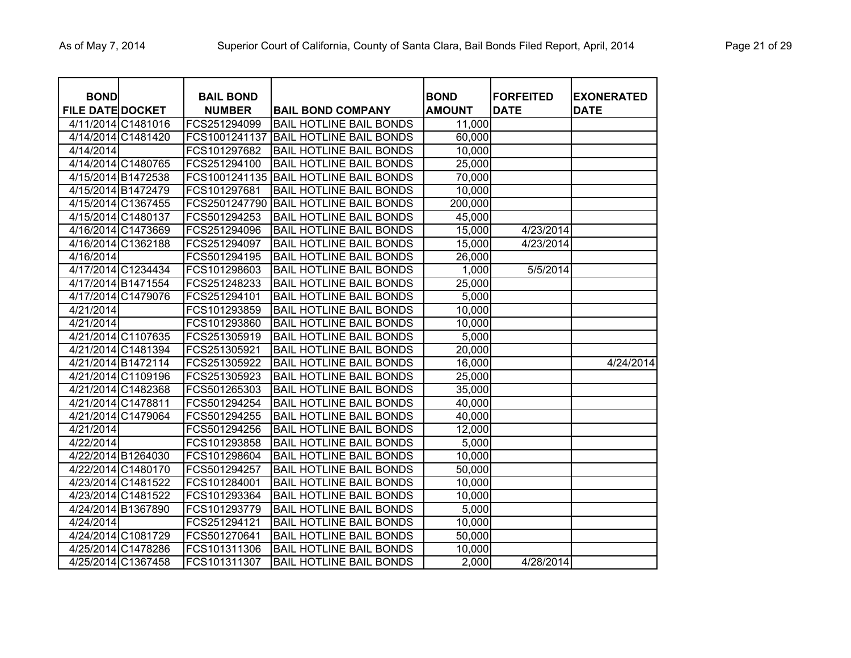| <b>BOND</b>             |                    | <b>BAIL BOND</b> |                                | <b>BOND</b>   | <b>FORFEITED</b> | <b>EXONERATED</b> |
|-------------------------|--------------------|------------------|--------------------------------|---------------|------------------|-------------------|
| <b>FILE DATE DOCKET</b> |                    | <b>NUMBER</b>    | <b>BAIL BOND COMPANY</b>       | <b>AMOUNT</b> | <b>DATE</b>      | <b>DATE</b>       |
| 4/11/2014 C1481016      |                    | FCS251294099     | <b>BAIL HOTLINE BAIL BONDS</b> | 11,000        |                  |                   |
| 4/14/2014 C1481420      |                    | FCS1001241137    | <b>BAIL HOTLINE BAIL BONDS</b> | 60,000        |                  |                   |
| 4/14/2014               |                    | FCS101297682     | <b>BAIL HOTLINE BAIL BONDS</b> | 10,000        |                  |                   |
| 4/14/2014 C1480765      |                    | FCS251294100     | <b>BAIL HOTLINE BAIL BONDS</b> | 25,000        |                  |                   |
| 4/15/2014 B1472538      |                    | FCS1001241135    | <b>BAIL HOTLINE BAIL BONDS</b> | 70,000        |                  |                   |
| 4/15/2014 B1472479      |                    | FCS101297681     | <b>BAIL HOTLINE BAIL BONDS</b> | 10,000        |                  |                   |
|                         | 4/15/2014 C1367455 | FCS2501247790    | <b>BAIL HOTLINE BAIL BONDS</b> | 200,000       |                  |                   |
| 4/15/2014 C1480137      |                    | FCS501294253     | <b>BAIL HOTLINE BAIL BONDS</b> | 45,000        |                  |                   |
|                         | 4/16/2014 C1473669 | FCS251294096     | <b>BAIL HOTLINE BAIL BONDS</b> | 15,000        | 4/23/2014        |                   |
|                         | 4/16/2014 C1362188 | FCS251294097     | <b>BAIL HOTLINE BAIL BONDS</b> | 15,000        | 4/23/2014        |                   |
| 4/16/2014               |                    | FCS501294195     | <b>BAIL HOTLINE BAIL BONDS</b> | 26,000        |                  |                   |
| 4/17/2014 C1234434      |                    | FCS101298603     | <b>BAIL HOTLINE BAIL BONDS</b> | 1,000         | 5/5/2014         |                   |
| 4/17/2014 B1471554      |                    | FCS251248233     | <b>BAIL HOTLINE BAIL BONDS</b> | 25,000        |                  |                   |
|                         | 4/17/2014 C1479076 | FCS251294101     | <b>BAIL HOTLINE BAIL BONDS</b> | 5,000         |                  |                   |
| 4/21/2014               |                    | FCS101293859     | <b>BAIL HOTLINE BAIL BONDS</b> | 10,000        |                  |                   |
| 4/21/2014               |                    | FCS101293860     | <b>BAIL HOTLINE BAIL BONDS</b> | 10,000        |                  |                   |
|                         | 4/21/2014 C1107635 | FCS251305919     | <b>BAIL HOTLINE BAIL BONDS</b> | 5,000         |                  |                   |
|                         | 4/21/2014 C1481394 | FCS251305921     | <b>BAIL HOTLINE BAIL BONDS</b> | 20,000        |                  |                   |
| 4/21/2014 B1472114      |                    | FCS251305922     | <b>BAIL HOTLINE BAIL BONDS</b> | 16,000        |                  | 4/24/2014         |
|                         | 4/21/2014 C1109196 | FCS251305923     | <b>BAIL HOTLINE BAIL BONDS</b> | 25,000        |                  |                   |
|                         | 4/21/2014 C1482368 | FCS501265303     | <b>BAIL HOTLINE BAIL BONDS</b> | 35,000        |                  |                   |
| 4/21/2014 C1478811      |                    | FCS501294254     | <b>BAIL HOTLINE BAIL BONDS</b> | 40,000        |                  |                   |
| 4/21/2014 C1479064      |                    | FCS501294255     | <b>BAIL HOTLINE BAIL BONDS</b> | 40,000        |                  |                   |
| 4/21/2014               |                    | FCS501294256     | <b>BAIL HOTLINE BAIL BONDS</b> | 12,000        |                  |                   |
| 4/22/2014               |                    | FCS101293858     | <b>BAIL HOTLINE BAIL BONDS</b> | 5,000         |                  |                   |
| 4/22/2014 B1264030      |                    | FCS101298604     | <b>BAIL HOTLINE BAIL BONDS</b> | 10,000        |                  |                   |
| 4/22/2014 C1480170      |                    | FCS501294257     | <b>BAIL HOTLINE BAIL BONDS</b> | 50,000        |                  |                   |
| 4/23/2014 C1481522      |                    | FCS101284001     | <b>BAIL HOTLINE BAIL BONDS</b> | 10,000        |                  |                   |
|                         | 4/23/2014 C1481522 | FCS101293364     | <b>BAIL HOTLINE BAIL BONDS</b> | 10,000        |                  |                   |
| 4/24/2014 B1367890      |                    | FCS101293779     | <b>BAIL HOTLINE BAIL BONDS</b> | 5,000         |                  |                   |
| 4/24/2014               |                    | FCS251294121     | <b>BAIL HOTLINE BAIL BONDS</b> | 10,000        |                  |                   |
| 4/24/2014 C1081729      |                    | FCS501270641     | <b>BAIL HOTLINE BAIL BONDS</b> | 50,000        |                  |                   |
| 4/25/2014 C1478286      |                    | FCS101311306     | <b>BAIL HOTLINE BAIL BONDS</b> | 10,000        |                  |                   |
|                         | 4/25/2014 C1367458 | FCS101311307     | <b>BAIL HOTLINE BAIL BONDS</b> | 2,000         | 4/28/2014        |                   |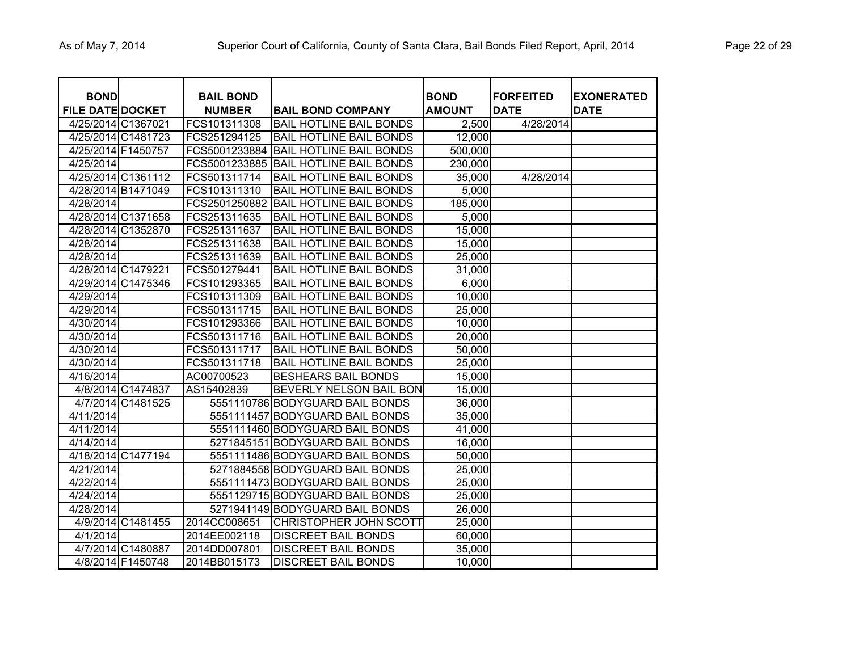| <b>BOND</b>             |                    | <b>BAIL BOND</b> |                                       | <b>BOND</b>   | <b>FORFEITED</b> | <b>EXONERATED</b> |
|-------------------------|--------------------|------------------|---------------------------------------|---------------|------------------|-------------------|
| <b>FILE DATE DOCKET</b> |                    | <b>NUMBER</b>    | <b>BAIL BOND COMPANY</b>              | <b>AMOUNT</b> | <b>DATE</b>      | <b>DATE</b>       |
| 4/25/2014 C1367021      |                    | FCS101311308     | <b>BAIL HOTLINE BAIL BONDS</b>        | 2,500         | 4/28/2014        |                   |
| 4/25/2014 C1481723      |                    | FCS251294125     | <b>BAIL HOTLINE BAIL BONDS</b>        | 12,000        |                  |                   |
| 4/25/2014 F1450757      |                    |                  | FCS5001233884 BAIL HOTLINE BAIL BONDS | 500,000       |                  |                   |
| 4/25/2014               |                    |                  | FCS5001233885 BAIL HOTLINE BAIL BONDS | 230,000       |                  |                   |
| 4/25/2014 C1361112      |                    | FCS501311714     | <b>BAIL HOTLINE BAIL BONDS</b>        | 35,000        | 4/28/2014        |                   |
| 4/28/2014 B1471049      |                    | FCS101311310     | <b>BAIL HOTLINE BAIL BONDS</b>        | 5,000         |                  |                   |
| 4/28/2014               |                    | FCS2501250882    | <b>BAIL HOTLINE BAIL BONDS</b>        | 185,000       |                  |                   |
| 4/28/2014 C1371658      |                    | FCS251311635     | <b>BAIL HOTLINE BAIL BONDS</b>        | 5,000         |                  |                   |
| 4/28/2014 C1352870      |                    | FCS251311637     | <b>BAIL HOTLINE BAIL BONDS</b>        | 15,000        |                  |                   |
| 4/28/2014               |                    | FCS251311638     | <b>BAIL HOTLINE BAIL BONDS</b>        | 15,000        |                  |                   |
| 4/28/2014               |                    | FCS251311639     | <b>BAIL HOTLINE BAIL BONDS</b>        | 25,000        |                  |                   |
| 4/28/2014 C1479221      |                    | FCS501279441     | <b>BAIL HOTLINE BAIL BONDS</b>        | 31,000        |                  |                   |
| 4/29/2014 C1475346      |                    | FCS101293365     | <b>BAIL HOTLINE BAIL BONDS</b>        | 6,000         |                  |                   |
| 4/29/2014               |                    | FCS101311309     | <b>BAIL HOTLINE BAIL BONDS</b>        | 10,000        |                  |                   |
| 4/29/2014               |                    | FCS501311715     | <b>BAIL HOTLINE BAIL BONDS</b>        | 25,000        |                  |                   |
| 4/30/2014               |                    | FCS101293366     | <b>BAIL HOTLINE BAIL BONDS</b>        | 10,000        |                  |                   |
| 4/30/2014               |                    | FCS501311716     | <b>BAIL HOTLINE BAIL BONDS</b>        | 20,000        |                  |                   |
| 4/30/2014               |                    | FCS501311717     | <b>BAIL HOTLINE BAIL BONDS</b>        | 50,000        |                  |                   |
| 4/30/2014               |                    | FCS501311718     | <b>BAIL HOTLINE BAIL BONDS</b>        | 25,000        |                  |                   |
| 4/16/2014               |                    | AC00700523       | <b>BESHEARS BAIL BONDS</b>            | 15,000        |                  |                   |
|                         | 4/8/2014 C1474837  | AS15402839       | <b>BEVERLY NELSON BAIL BON</b>        | 15,000        |                  |                   |
|                         | 4/7/2014 C1481525  |                  | 5551110786 BODYGUARD BAIL BONDS       | 36,000        |                  |                   |
| 4/11/2014               |                    |                  | 5551111457 BODYGUARD BAIL BONDS       | 35,000        |                  |                   |
| 4/11/2014               |                    |                  | 5551111460 BODYGUARD BAIL BONDS       | 41,000        |                  |                   |
| 4/14/2014               |                    |                  | 5271845151 BODYGUARD BAIL BONDS       | 16,000        |                  |                   |
|                         | 4/18/2014 C1477194 |                  | 5551111486 BODYGUARD BAIL BONDS       | 50,000        |                  |                   |
| 4/21/2014               |                    |                  | 5271884558 BODYGUARD BAIL BONDS       | 25,000        |                  |                   |
| 4/22/2014               |                    |                  | 5551111473 BODYGUARD BAIL BONDS       | 25,000        |                  |                   |
| 4/24/2014               |                    |                  | 5551129715 BODYGUARD BAIL BONDS       | 25,000        |                  |                   |
| 4/28/2014               |                    |                  | 5271941149 BODYGUARD BAIL BONDS       | 26,000        |                  |                   |
|                         | 4/9/2014 C1481455  | 2014CC008651     | CHRISTOPHER JOHN SCOTT                | 25,000        |                  |                   |
| 4/1/2014                |                    | 2014EE002118     | <b>DISCREET BAIL BONDS</b>            | 60,000        |                  |                   |
|                         | 4/7/2014 C1480887  | 2014DD007801     | <b>DISCREET BAIL BONDS</b>            | 35,000        |                  |                   |
|                         | 4/8/2014 F1450748  | 2014BB015173     | IDISCREET BAIL BONDS                  | 10,000        |                  |                   |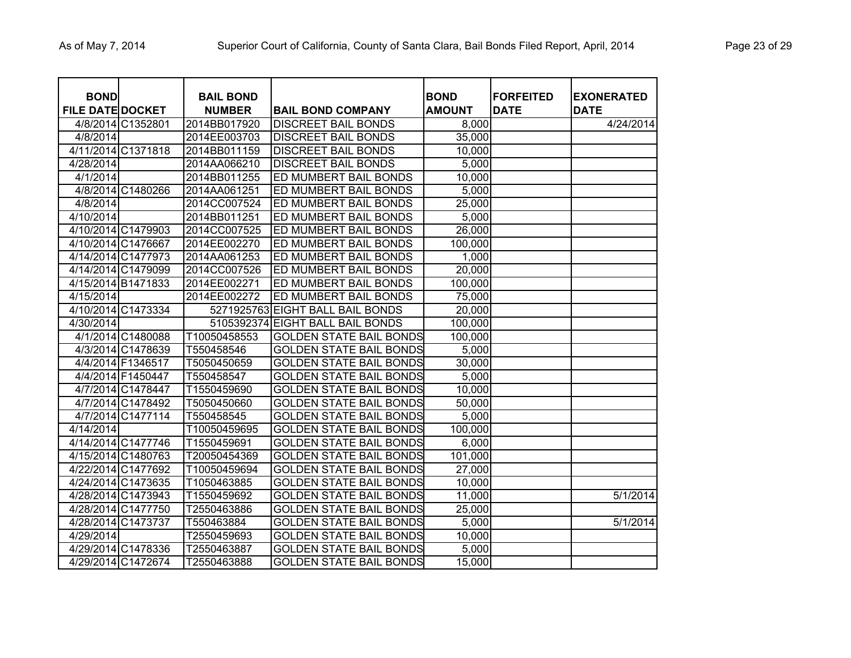| <b>BOND</b><br><b>FILE DATE DOCKET</b> |                    | <b>BAIL BOND</b><br><b>NUMBER</b> | <b>BAIL BOND COMPANY</b>         | <b>BOND</b><br><b>AMOUNT</b> | <b>FORFEITED</b><br><b>DATE</b> | <b>EXONERATED</b><br><b>DATE</b> |
|----------------------------------------|--------------------|-----------------------------------|----------------------------------|------------------------------|---------------------------------|----------------------------------|
|                                        | 4/8/2014 C1352801  | 2014BB017920                      | <b>DISCREET BAIL BONDS</b>       | 8,000                        |                                 | 4/24/2014                        |
| 4/8/2014                               |                    | 2014EE003703                      | <b>DISCREET BAIL BONDS</b>       | 35,000                       |                                 |                                  |
|                                        | 4/11/2014 C1371818 | 2014BB011159                      | <b>DISCREET BAIL BONDS</b>       | 10,000                       |                                 |                                  |
| 4/28/2014                              |                    | 2014AA066210                      | <b>DISCREET BAIL BONDS</b>       | 5,000                        |                                 |                                  |
| 4/1/2014                               |                    | 2014BB011255                      | ED MUMBERT BAIL BONDS            | 10,000                       |                                 |                                  |
|                                        | 4/8/2014 C1480266  | 2014AA061251                      | ED MUMBERT BAIL BONDS            | 5,000                        |                                 |                                  |
| 4/8/2014                               |                    | 2014CC007524                      | <b>ED MUMBERT BAIL BONDS</b>     | 25,000                       |                                 |                                  |
| 4/10/2014                              |                    | 2014BB011251                      | ED MUMBERT BAIL BONDS            | 5,000                        |                                 |                                  |
|                                        | 4/10/2014 C1479903 | 2014CC007525                      | <b>ED MUMBERT BAIL BONDS</b>     | 26,000                       |                                 |                                  |
|                                        | 4/10/2014 C1476667 | 2014EE002270                      | <b>ED MUMBERT BAIL BONDS</b>     | 100,000                      |                                 |                                  |
|                                        | 4/14/2014 C1477973 | 2014AA061253                      | <b>ED MUMBERT BAIL BONDS</b>     | 1,000                        |                                 |                                  |
|                                        | 4/14/2014 C1479099 | 2014CC007526                      | ED MUMBERT BAIL BONDS            | 20,000                       |                                 |                                  |
|                                        | 4/15/2014 B1471833 | 2014EE002271                      | ED MUMBERT BAIL BONDS            | 100,000                      |                                 |                                  |
| 4/15/2014                              |                    | 2014EE002272                      | ED MUMBERT BAIL BONDS            | 75,000                       |                                 |                                  |
|                                        | 4/10/2014 C1473334 |                                   | 5271925763 EIGHT BALL BAIL BONDS | 20,000                       |                                 |                                  |
| 4/30/2014                              |                    |                                   | 5105392374 EIGHT BALL BAIL BONDS | 100,000                      |                                 |                                  |
|                                        | 4/1/2014 C1480088  | T10050458553                      | <b>GOLDEN STATE BAIL BONDS</b>   | 100,000                      |                                 |                                  |
|                                        | 4/3/2014 C1478639  | T550458546                        | <b>GOLDEN STATE BAIL BONDS</b>   | 5,000                        |                                 |                                  |
|                                        | 4/4/2014 F1346517  | T5050450659                       | <b>GOLDEN STATE BAIL BONDS</b>   | 30,000                       |                                 |                                  |
|                                        | 4/4/2014 F1450447  | T550458547                        | <b>GOLDEN STATE BAIL BONDS</b>   | 5,000                        |                                 |                                  |
|                                        | 4/7/2014 C1478447  | T1550459690                       | <b>GOLDEN STATE BAIL BONDS</b>   | 10,000                       |                                 |                                  |
|                                        | 4/7/2014 C1478492  | T5050450660                       | <b>GOLDEN STATE BAIL BONDS</b>   | 50,000                       |                                 |                                  |
|                                        | 4/7/2014 C1477114  | T550458545                        | <b>GOLDEN STATE BAIL BONDS</b>   | 5,000                        |                                 |                                  |
| 4/14/2014                              |                    | T10050459695                      | <b>GOLDEN STATE BAIL BONDS</b>   | 100,000                      |                                 |                                  |
|                                        | 4/14/2014 C1477746 | T1550459691                       | <b>GOLDEN STATE BAIL BONDS</b>   | 6,000                        |                                 |                                  |
|                                        | 4/15/2014 C1480763 | T20050454369                      | <b>GOLDEN STATE BAIL BONDS</b>   | 101,000                      |                                 |                                  |
|                                        | 4/22/2014 C1477692 | T10050459694                      | <b>GOLDEN STATE BAIL BONDS</b>   | 27,000                       |                                 |                                  |
|                                        | 4/24/2014 C1473635 | T1050463885                       | <b>GOLDEN STATE BAIL BONDS</b>   | 10,000                       |                                 |                                  |
|                                        | 4/28/2014 C1473943 | T1550459692                       | <b>GOLDEN STATE BAIL BONDS</b>   | 11,000                       |                                 | 5/1/2014                         |
|                                        | 4/28/2014 C1477750 | T2550463886                       | <b>GOLDEN STATE BAIL BONDS</b>   | 25,000                       |                                 |                                  |
|                                        | 4/28/2014 C1473737 | T550463884                        | <b>GOLDEN STATE BAIL BONDS</b>   | 5,000                        |                                 | 5/1/2014                         |
| 4/29/2014                              |                    | T2550459693                       | <b>GOLDEN STATE BAIL BONDS</b>   | 10,000                       |                                 |                                  |
|                                        | 4/29/2014 C1478336 | T2550463887                       | <b>GOLDEN STATE BAIL BONDS</b>   | 5,000                        |                                 |                                  |
|                                        | 4/29/2014 C1472674 | T2550463888                       | <b>GOLDEN STATE BAIL BONDS</b>   | 15,000                       |                                 |                                  |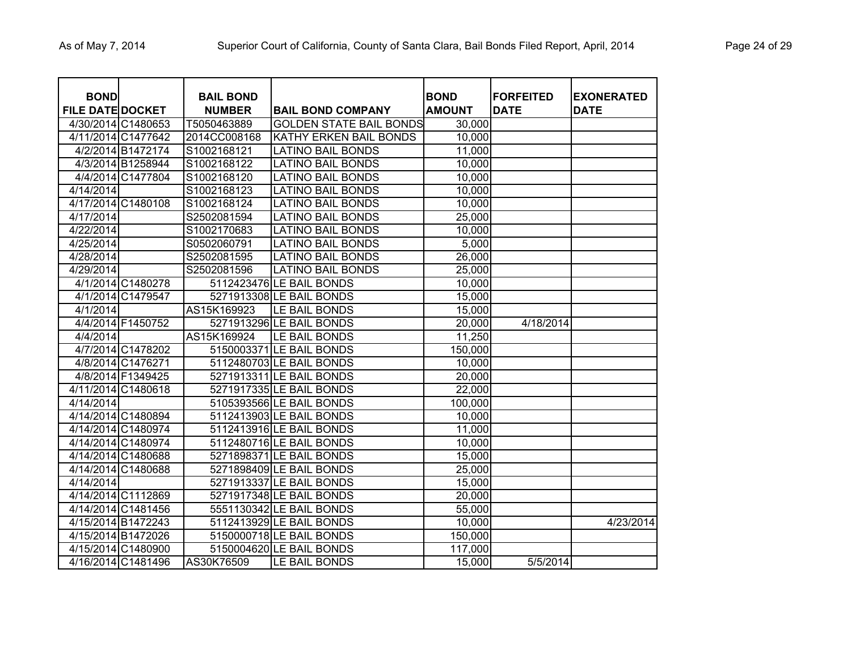| <b>BOND</b>             |                    | <b>BAIL BOND</b> |                                | <b>BOND</b>   | <b>FORFEITED</b> | <b>EXONERATED</b> |
|-------------------------|--------------------|------------------|--------------------------------|---------------|------------------|-------------------|
| <b>FILE DATE DOCKET</b> |                    | <b>NUMBER</b>    | <b>BAIL BOND COMPANY</b>       | <b>AMOUNT</b> | <b>DATE</b>      | <b>DATE</b>       |
| 4/30/2014 C1480653      |                    | T5050463889      | <b>GOLDEN STATE BAIL BONDS</b> | 30,000        |                  |                   |
|                         | 4/11/2014 C1477642 | 2014CC008168     | <b>KATHY ERKEN BAIL BONDS</b>  | 10,000        |                  |                   |
|                         | 4/2/2014 B1472174  | S1002168121      | <b>LATINO BAIL BONDS</b>       | 11,000        |                  |                   |
|                         | 4/3/2014 B1258944  | S1002168122      | <b>LATINO BAIL BONDS</b>       | 10,000        |                  |                   |
|                         | 4/4/2014 C1477804  | S1002168120      | <b>LATINO BAIL BONDS</b>       | 10,000        |                  |                   |
| 4/14/2014               |                    | S1002168123      | <b>LATINO BAIL BONDS</b>       | 10,000        |                  |                   |
|                         | 4/17/2014 C1480108 | S1002168124      | <b>LATINO BAIL BONDS</b>       | 10,000        |                  |                   |
| 4/17/2014               |                    | S2502081594      | <b>LATINO BAIL BONDS</b>       | 25,000        |                  |                   |
| 4/22/2014               |                    | S1002170683      | <b>LATINO BAIL BONDS</b>       | 10,000        |                  |                   |
| 4/25/2014               |                    | S0502060791      | <b>LATINO BAIL BONDS</b>       | 5,000         |                  |                   |
| 4/28/2014               |                    | S2502081595      | <b>LATINO BAIL BONDS</b>       | 26,000        |                  |                   |
| 4/29/2014               |                    | S2502081596      | <b>LATINO BAIL BONDS</b>       | 25,000        |                  |                   |
|                         | 4/1/2014 C1480278  |                  | 5112423476 LE BAIL BONDS       | 10,000        |                  |                   |
|                         | 4/1/2014 C1479547  |                  | 5271913308 LE BAIL BONDS       | 15,000        |                  |                   |
| 4/1/2014                |                    | AS15K169923      | LE BAIL BONDS                  | 15,000        |                  |                   |
|                         | 4/4/2014 F1450752  |                  | 5271913296 LE BAIL BONDS       | 20,000        | 4/18/2014        |                   |
| 4/4/2014                |                    | AS15K169924      | LE BAIL BONDS                  | 11,250        |                  |                   |
|                         | 4/7/2014 C1478202  |                  | 5150003371 LE BAIL BONDS       | 150,000       |                  |                   |
|                         | 4/8/2014 C1476271  |                  | 5112480703 LE BAIL BONDS       | 10,000        |                  |                   |
|                         | 4/8/2014 F1349425  |                  | 5271913311 LE BAIL BONDS       | 20,000        |                  |                   |
|                         | 4/11/2014 C1480618 |                  | 5271917335 LE BAIL BONDS       | 22,000        |                  |                   |
| 4/14/2014               |                    |                  | 5105393566 LE BAIL BONDS       | 100,000       |                  |                   |
|                         | 4/14/2014 C1480894 |                  | 5112413903 LE BAIL BONDS       | 10,000        |                  |                   |
|                         | 4/14/2014 C1480974 |                  | 5112413916 LE BAIL BONDS       | 11,000        |                  |                   |
|                         | 4/14/2014 C1480974 |                  | 5112480716 LE BAIL BONDS       | 10,000        |                  |                   |
|                         | 4/14/2014 C1480688 |                  | 5271898371 LE BAIL BONDS       | 15,000        |                  |                   |
|                         | 4/14/2014 C1480688 |                  | 5271898409 LE BAIL BONDS       | 25,000        |                  |                   |
| 4/14/2014               |                    |                  | 5271913337 LE BAIL BONDS       | 15,000        |                  |                   |
|                         | 4/14/2014 C1112869 |                  | 5271917348 LE BAIL BONDS       | 20,000        |                  |                   |
|                         | 4/14/2014 C1481456 |                  | 5551130342 LE BAIL BONDS       | 55,000        |                  |                   |
| 4/15/2014 B1472243      |                    |                  | 5112413929 LE BAIL BONDS       | 10,000        |                  | 4/23/2014         |
| 4/15/2014 B1472026      |                    |                  | 5150000718 LE BAIL BONDS       | 150,000       |                  |                   |
|                         | 4/15/2014 C1480900 |                  | 5150004620 LE BAIL BONDS       | 117,000       |                  |                   |
|                         | 4/16/2014 C1481496 | AS30K76509       | LE BAIL BONDS                  | 15,000        | 5/5/2014         |                   |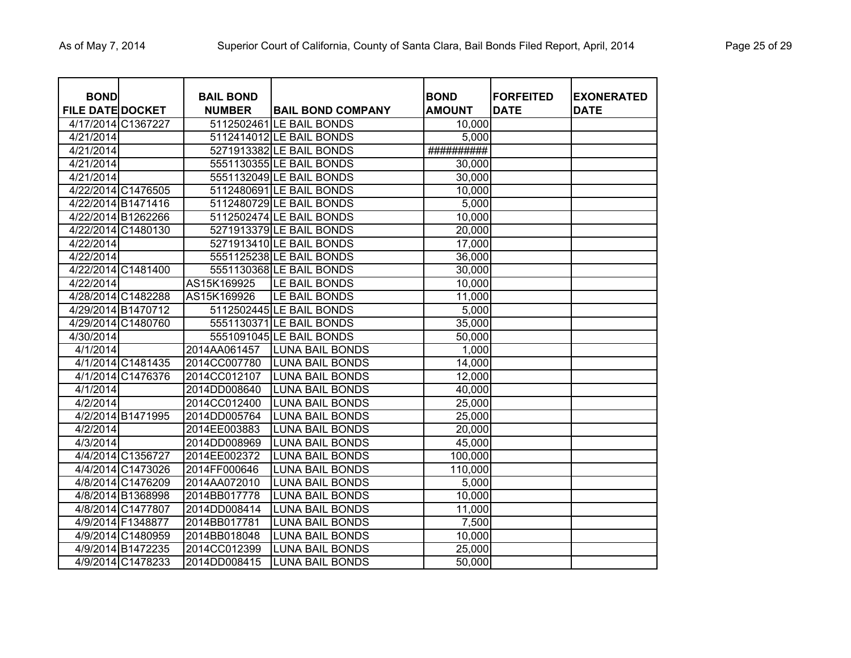| <b>BOND</b><br><b>FILE DATE DOCKET</b> |                    | <b>BAIL BOND</b><br><b>NUMBER</b> | <b>BAIL BOND COMPANY</b> | <b>BOND</b><br><b>AMOUNT</b> | <b>FORFEITED</b><br><b>DATE</b> | <b>EXONERATED</b><br>DATE |
|----------------------------------------|--------------------|-----------------------------------|--------------------------|------------------------------|---------------------------------|---------------------------|
| 4/17/2014 C1367227                     |                    |                                   | 5112502461 LE BAIL BONDS | 10,000                       |                                 |                           |
| 4/21/2014                              |                    |                                   | 5112414012 LE BAIL BONDS | 5,000                        |                                 |                           |
| 4/21/2014                              |                    |                                   | 5271913382 LE BAIL BONDS | ##########                   |                                 |                           |
| 4/21/2014                              |                    |                                   | 5551130355 LE BAIL BONDS | 30,000                       |                                 |                           |
| 4/21/2014                              |                    |                                   | 5551132049 LE BAIL BONDS | 30,000                       |                                 |                           |
|                                        | 4/22/2014 C1476505 |                                   | 5112480691 LE BAIL BONDS | 10,000                       |                                 |                           |
|                                        | 4/22/2014 B1471416 |                                   | 5112480729 LE BAIL BONDS | 5,000                        |                                 |                           |
|                                        | 4/22/2014 B1262266 |                                   | 5112502474 LE BAIL BONDS | 10,000                       |                                 |                           |
|                                        | 4/22/2014 C1480130 |                                   | 5271913379 LE BAIL BONDS | 20,000                       |                                 |                           |
| 4/22/2014                              |                    |                                   | 5271913410 LE BAIL BONDS | 17,000                       |                                 |                           |
| 4/22/2014                              |                    |                                   | 5551125238 LE BAIL BONDS | 36,000                       |                                 |                           |
|                                        | 4/22/2014 C1481400 |                                   | 5551130368 LE BAIL BONDS | 30,000                       |                                 |                           |
| 4/22/2014                              |                    | AS15K169925                       | LE BAIL BONDS            | 10,000                       |                                 |                           |
|                                        | 4/28/2014 C1482288 | AS15K169926                       | LE BAIL BONDS            | 11,000                       |                                 |                           |
|                                        | 4/29/2014 B1470712 |                                   | 5112502445 LE BAIL BONDS | 5,000                        |                                 |                           |
|                                        | 4/29/2014 C1480760 |                                   | 5551130371 LE BAIL BONDS | 35,000                       |                                 |                           |
| 4/30/2014                              |                    |                                   | 5551091045 LE BAIL BONDS | 50,000                       |                                 |                           |
| 4/1/2014                               |                    | 2014AA061457                      | <b>LUNA BAIL BONDS</b>   | 1,000                        |                                 |                           |
|                                        | 4/1/2014 C1481435  | 2014CC007780                      | <b>LUNA BAIL BONDS</b>   | 14,000                       |                                 |                           |
|                                        | 4/1/2014 C1476376  | 2014CC012107                      | <b>LUNA BAIL BONDS</b>   | 12,000                       |                                 |                           |
| 4/1/2014                               |                    | 2014DD008640                      | <b>LUNA BAIL BONDS</b>   | 40,000                       |                                 |                           |
| 4/2/2014                               |                    | 2014CC012400                      | <b>LUNA BAIL BONDS</b>   | 25,000                       |                                 |                           |
|                                        | 4/2/2014 B1471995  | 2014DD005764                      | <b>LUNA BAIL BONDS</b>   | 25,000                       |                                 |                           |
| 4/2/2014                               |                    | 2014EE003883                      | <b>LUNA BAIL BONDS</b>   | 20,000                       |                                 |                           |
| 4/3/2014                               |                    | 2014DD008969                      | <b>LUNA BAIL BONDS</b>   | 45,000                       |                                 |                           |
|                                        | 4/4/2014 C1356727  | 2014EE002372                      | <b>LUNA BAIL BONDS</b>   | 100,000                      |                                 |                           |
|                                        | 4/4/2014 C1473026  | 2014FF000646                      | <b>LUNA BAIL BONDS</b>   | 110,000                      |                                 |                           |
|                                        | 4/8/2014 C1476209  | 2014AA072010                      | <b>LUNA BAIL BONDS</b>   | 5,000                        |                                 |                           |
|                                        | 4/8/2014 B1368998  | 2014BB017778                      | <b>LUNA BAIL BONDS</b>   | 10,000                       |                                 |                           |
|                                        | 4/8/2014 C1477807  | 2014DD008414                      | <b>LUNA BAIL BONDS</b>   | 11,000                       |                                 |                           |
|                                        | 4/9/2014 F1348877  | 2014BB017781                      | <b>LUNA BAIL BONDS</b>   | 7,500                        |                                 |                           |
|                                        | 4/9/2014 C1480959  | 2014BB018048                      | <b>LUNA BAIL BONDS</b>   | 10,000                       |                                 |                           |
|                                        | 4/9/2014 B1472235  | 2014CC012399                      | <b>LUNA BAIL BONDS</b>   | 25,000                       |                                 |                           |
|                                        | 4/9/2014 C1478233  | 2014DD008415                      | <b>LUNA BAIL BONDS</b>   | 50,000                       |                                 |                           |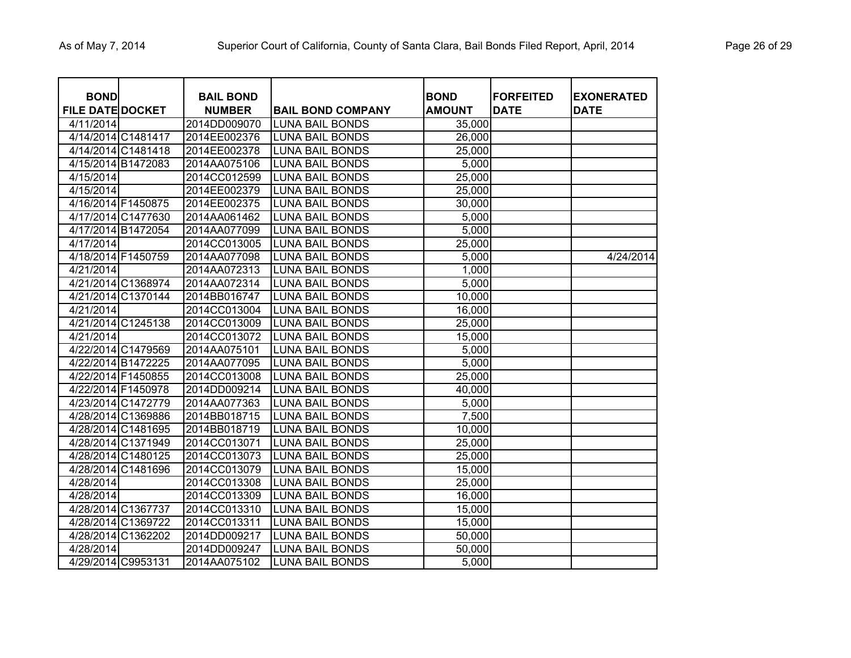| <b>BOND</b><br><b>FILE DATE DOCKET</b> |                    | <b>BAIL BOND</b><br><b>NUMBER</b> | <b>BAIL BOND COMPANY</b> | <b>BOND</b><br><b>AMOUNT</b> | <b>FORFEITED</b><br><b>DATE</b> | <b>EXONERATED</b><br><b>DATE</b> |
|----------------------------------------|--------------------|-----------------------------------|--------------------------|------------------------------|---------------------------------|----------------------------------|
| 4/11/2014                              |                    | 2014DD009070                      | <b>LUNA BAIL BONDS</b>   | 35,000                       |                                 |                                  |
|                                        | 4/14/2014 C1481417 | 2014EE002376                      | <b>LUNA BAIL BONDS</b>   | 26,000                       |                                 |                                  |
|                                        | 4/14/2014 C1481418 | 2014EE002378                      | <b>LUNA BAIL BONDS</b>   | 25,000                       |                                 |                                  |
|                                        | 4/15/2014 B1472083 | 2014AA075106                      | <b>LUNA BAIL BONDS</b>   | 5,000                        |                                 |                                  |
| 4/15/2014                              |                    | 2014CC012599                      | <b>LUNA BAIL BONDS</b>   | 25,000                       |                                 |                                  |
| 4/15/2014                              |                    | 2014EE002379                      | <b>LUNA BAIL BONDS</b>   | 25,000                       |                                 |                                  |
| 4/16/2014 F1450875                     |                    | 2014EE002375                      | <b>LUNA BAIL BONDS</b>   | 30,000                       |                                 |                                  |
|                                        | 4/17/2014 C1477630 | 2014AA061462                      | <b>LUNA BAIL BONDS</b>   | 5,000                        |                                 |                                  |
|                                        | 4/17/2014 B1472054 | 2014AA077099                      | <b>LUNA BAIL BONDS</b>   | 5,000                        |                                 |                                  |
| 4/17/2014                              |                    | 2014CC013005                      | LUNA BAIL BONDS          | 25,000                       |                                 |                                  |
| 4/18/2014 F1450759                     |                    | 2014AA077098                      | <b>LUNA BAIL BONDS</b>   | 5,000                        |                                 | 4/24/2014                        |
| 4/21/2014                              |                    | 2014AA072313                      | <b>LUNA BAIL BONDS</b>   | 1,000                        |                                 |                                  |
|                                        | 4/21/2014 C1368974 | 2014AA072314                      | <b>LUNA BAIL BONDS</b>   | 5,000                        |                                 |                                  |
|                                        | 4/21/2014 C1370144 | 2014BB016747                      | <b>LUNA BAIL BONDS</b>   | 10,000                       |                                 |                                  |
| 4/21/2014                              |                    | 2014CC013004                      | <b>LUNA BAIL BONDS</b>   | 16,000                       |                                 |                                  |
|                                        | 4/21/2014 C1245138 | 2014CC013009                      | <b>LUNA BAIL BONDS</b>   | 25,000                       |                                 |                                  |
| 4/21/2014                              |                    | 2014CC013072                      | <b>LUNA BAIL BONDS</b>   | 15,000                       |                                 |                                  |
|                                        | 4/22/2014 C1479569 | 2014AA075101                      | <b>LUNA BAIL BONDS</b>   | 5,000                        |                                 |                                  |
|                                        | 4/22/2014 B1472225 | 2014AA077095                      | <b>LUNA BAIL BONDS</b>   | 5,000                        |                                 |                                  |
| 4/22/2014 F1450855                     |                    | 2014CC013008                      | <b>LUNA BAIL BONDS</b>   | 25,000                       |                                 |                                  |
| 4/22/2014 F1450978                     |                    | 2014DD009214                      | <b>LUNA BAIL BONDS</b>   | 40,000                       |                                 |                                  |
|                                        | 4/23/2014 C1472779 | 2014AA077363                      | <b>LUNA BAIL BONDS</b>   | 5,000                        |                                 |                                  |
|                                        | 4/28/2014 C1369886 | 2014BB018715                      | <b>LUNA BAIL BONDS</b>   | 7,500                        |                                 |                                  |
|                                        | 4/28/2014 C1481695 | 2014BB018719                      | <b>LUNA BAIL BONDS</b>   | 10,000                       |                                 |                                  |
|                                        | 4/28/2014 C1371949 | 2014CC013071                      | <b>LUNA BAIL BONDS</b>   | 25,000                       |                                 |                                  |
|                                        | 4/28/2014 C1480125 | 2014CC013073                      | <b>LUNA BAIL BONDS</b>   | 25,000                       |                                 |                                  |
|                                        | 4/28/2014 C1481696 | 2014CC013079                      | <b>LUNA BAIL BONDS</b>   | 15,000                       |                                 |                                  |
| 4/28/2014                              |                    | 2014CC013308                      | <b>LUNA BAIL BONDS</b>   | 25,000                       |                                 |                                  |
| 4/28/2014                              |                    | 2014CC013309                      | <b>LUNA BAIL BONDS</b>   | 16,000                       |                                 |                                  |
|                                        | 4/28/2014 C1367737 | 2014CC013310                      | <b>LUNA BAIL BONDS</b>   | 15,000                       |                                 |                                  |
|                                        | 4/28/2014 C1369722 | 2014CC013311                      | <b>LUNA BAIL BONDS</b>   | 15,000                       |                                 |                                  |
|                                        | 4/28/2014 C1362202 | 2014DD009217                      | <b>LUNA BAIL BONDS</b>   | 50,000                       |                                 |                                  |
| 4/28/2014                              |                    | 2014DD009247                      | <b>LUNA BAIL BONDS</b>   | 50,000                       |                                 |                                  |
| 4/29/2014 C9953131                     |                    | 2014AA075102                      | <b>LUNA BAIL BONDS</b>   | 5,000                        |                                 |                                  |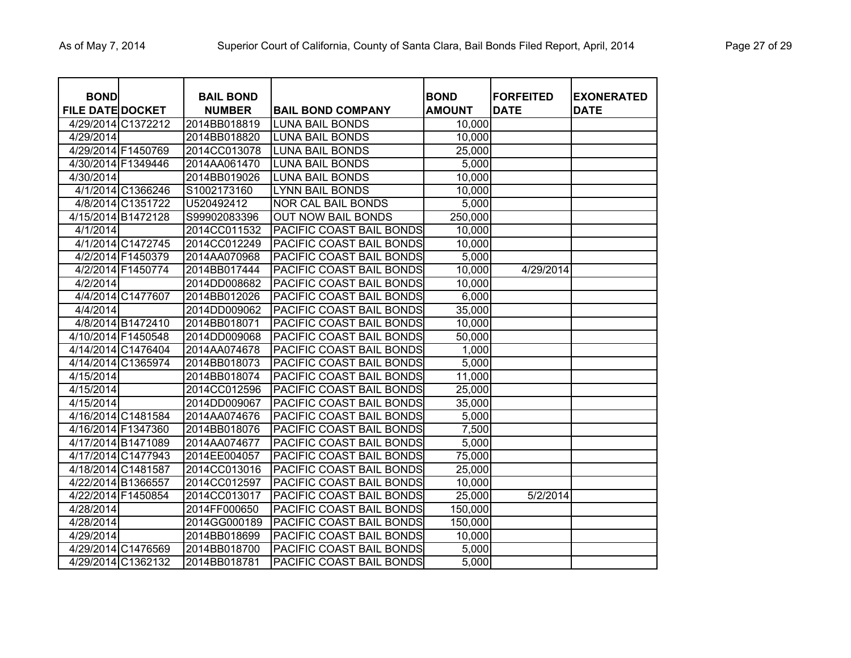| <b>BOND</b>             |                    | <b>BAIL BOND</b> |                           | <b>BOND</b>   | <b>FORFEITED</b> | <b>EXONERATED</b> |
|-------------------------|--------------------|------------------|---------------------------|---------------|------------------|-------------------|
| <b>FILE DATE DOCKET</b> |                    | <b>NUMBER</b>    | <b>BAIL BOND COMPANY</b>  | <b>AMOUNT</b> | <b>DATE</b>      | <b>DATE</b>       |
|                         | 4/29/2014 C1372212 | 2014BB018819     | <b>LUNA BAIL BONDS</b>    | 10,000        |                  |                   |
| 4/29/2014               |                    | 2014BB018820     | <b>LUNA BAIL BONDS</b>    | 10,000        |                  |                   |
|                         | 4/29/2014 F1450769 | 2014CC013078     | <b>LUNA BAIL BONDS</b>    | 25,000        |                  |                   |
|                         | 4/30/2014 F1349446 | 2014AA061470     | <b>LUNA BAIL BONDS</b>    | 5,000         |                  |                   |
| 4/30/2014               |                    | 2014BB019026     | <b>LUNA BAIL BONDS</b>    | 10,000        |                  |                   |
|                         | 4/1/2014 C1366246  | S1002173160      | <b>LYNN BAIL BONDS</b>    | 10,000        |                  |                   |
|                         | 4/8/2014 C1351722  | U520492412       | <b>NOR CAL BAIL BONDS</b> | 5,000         |                  |                   |
|                         | 4/15/2014 B1472128 | S99902083396     | <b>OUT NOW BAIL BONDS</b> | 250,000       |                  |                   |
| 4/1/2014                |                    | 2014CC011532     | PACIFIC COAST BAIL BONDS  | 10,000        |                  |                   |
|                         | 4/1/2014 C1472745  | 2014CC012249     | PACIFIC COAST BAIL BONDS  | 10,000        |                  |                   |
|                         | 4/2/2014 F1450379  | 2014AA070968     | PACIFIC COAST BAIL BONDS  | 5,000         |                  |                   |
|                         | 4/2/2014 F1450774  | 2014BB017444     | PACIFIC COAST BAIL BONDS  | 10,000        | 4/29/2014        |                   |
| 4/2/2014                |                    | 2014DD008682     | PACIFIC COAST BAIL BONDS  | 10,000        |                  |                   |
|                         | 4/4/2014 C1477607  | 2014BB012026     | PACIFIC COAST BAIL BONDS  | 6,000         |                  |                   |
| 4/4/2014                |                    | 2014DD009062     | PACIFIC COAST BAIL BONDS  | 35,000        |                  |                   |
|                         | 4/8/2014 B1472410  | 2014BB018071     | PACIFIC COAST BAIL BONDS  | 10,000        |                  |                   |
|                         | 4/10/2014 F1450548 | 2014DD009068     | PACIFIC COAST BAIL BONDS  | 50,000        |                  |                   |
|                         | 4/14/2014 C1476404 | 2014AA074678     | PACIFIC COAST BAIL BONDS  | 1,000         |                  |                   |
|                         | 4/14/2014 C1365974 | 2014BB018073     | PACIFIC COAST BAIL BONDS  | 5,000         |                  |                   |
| 4/15/2014               |                    | 2014BB018074     | PACIFIC COAST BAIL BONDS  | 11,000        |                  |                   |
| 4/15/2014               |                    | 2014CC012596     | PACIFIC COAST BAIL BONDS  | 25,000        |                  |                   |
| 4/15/2014               |                    | 2014DD009067     | PACIFIC COAST BAIL BONDS  | 35,000        |                  |                   |
|                         | 4/16/2014 C1481584 | 2014AA074676     | PACIFIC COAST BAIL BONDS  | 5,000         |                  |                   |
|                         | 4/16/2014 F1347360 | 2014BB018076     | PACIFIC COAST BAIL BONDS  | 7,500         |                  |                   |
|                         | 4/17/2014 B1471089 | 2014AA074677     | PACIFIC COAST BAIL BONDS  | 5,000         |                  |                   |
|                         | 4/17/2014 C1477943 | 2014EE004057     | PACIFIC COAST BAIL BONDS  | 75,000        |                  |                   |
|                         | 4/18/2014 C1481587 | 2014CC013016     | PACIFIC COAST BAIL BONDS  | 25,000        |                  |                   |
|                         | 4/22/2014 B1366557 | 2014CC012597     | PACIFIC COAST BAIL BONDS  | 10,000        |                  |                   |
|                         | 4/22/2014 F1450854 | 2014CC013017     | PACIFIC COAST BAIL BONDS  | 25,000        | 5/2/2014         |                   |
| 4/28/2014               |                    | 2014FF000650     | PACIFIC COAST BAIL BONDS  | 150,000       |                  |                   |
| 4/28/2014               |                    | 2014GG000189     | PACIFIC COAST BAIL BONDS  | 150,000       |                  |                   |
| 4/29/2014               |                    | 2014BB018699     | PACIFIC COAST BAIL BONDS  | 10,000        |                  |                   |
|                         | 4/29/2014 C1476569 | 2014BB018700     | PACIFIC COAST BAIL BONDS  | 5,000         |                  |                   |
|                         | 4/29/2014 C1362132 | 2014BB018781     | PACIFIC COAST BAIL BONDS  | 5,000         |                  |                   |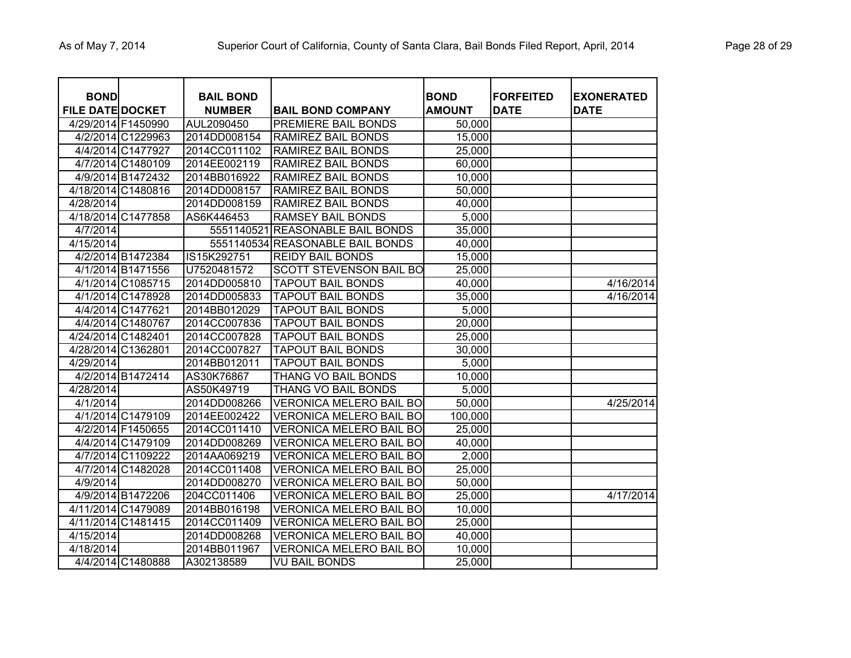| <b>BOND</b><br><b>FILE DATE DOCKET</b> |                    | <b>BAIL BOND</b><br><b>NUMBER</b> | <b>BAIL BOND COMPANY</b>         | <b>BOND</b><br><b>AMOUNT</b> | <b>FORFEITED</b><br><b>DATE</b> | <b>EXONERATED</b><br><b>DATE</b> |
|----------------------------------------|--------------------|-----------------------------------|----------------------------------|------------------------------|---------------------------------|----------------------------------|
| 4/29/2014 F1450990                     |                    | AUL2090450                        | PREMIERE BAIL BONDS              | 50,000                       |                                 |                                  |
|                                        | 4/2/2014 C1229963  | 2014DD008154                      | <b>RAMIREZ BAIL BONDS</b>        | 15,000                       |                                 |                                  |
|                                        | 4/4/2014 C1477927  | 2014CC011102                      | <b>RAMIREZ BAIL BONDS</b>        | 25,000                       |                                 |                                  |
|                                        | 4/7/2014 C1480109  | 2014EE002119                      | <b>RAMIREZ BAIL BONDS</b>        | 60,000                       |                                 |                                  |
|                                        | 4/9/2014 B1472432  | 2014BB016922                      | <b>RAMIREZ BAIL BONDS</b>        | 10,000                       |                                 |                                  |
|                                        | 4/18/2014 C1480816 | 2014DD008157                      | <b>RAMIREZ BAIL BONDS</b>        | 50,000                       |                                 |                                  |
| 4/28/2014                              |                    | 2014DD008159                      | <b>RAMIREZ BAIL BONDS</b>        | 40,000                       |                                 |                                  |
| 4/18/2014 C1477858                     |                    | AS6K446453                        | <b>RAMSEY BAIL BONDS</b>         | 5,000                        |                                 |                                  |
| 4/7/2014                               |                    |                                   | 5551140521 REASONABLE BAIL BONDS | 35,000                       |                                 |                                  |
| 4/15/2014                              |                    |                                   | 5551140534 REASONABLE BAIL BONDS | 40,000                       |                                 |                                  |
|                                        | 4/2/2014 B1472384  | IS15K292751                       | <b>REIDY BAIL BONDS</b>          | 15,000                       |                                 |                                  |
|                                        | 4/1/2014 B1471556  | U7520481572                       | <b>SCOTT STEVENSON BAIL BO</b>   | 25,000                       |                                 |                                  |
|                                        | 4/1/2014 C1085715  | 2014DD005810                      | <b>TAPOUT BAIL BONDS</b>         | 40,000                       |                                 | 4/16/2014                        |
|                                        | 4/1/2014 C1478928  | 2014DD005833                      | <b>TAPOUT BAIL BONDS</b>         | 35,000                       |                                 | 4/16/2014                        |
|                                        | 4/4/2014 C1477621  | 2014BB012029                      | <b>TAPOUT BAIL BONDS</b>         | 5,000                        |                                 |                                  |
|                                        | 4/4/2014 C1480767  | 2014CC007836                      | <b>TAPOUT BAIL BONDS</b>         | 20,000                       |                                 |                                  |
| 4/24/2014 C1482401                     |                    | 2014CC007828                      | <b>TAPOUT BAIL BONDS</b>         | 25,000                       |                                 |                                  |
| 4/28/2014 C1362801                     |                    | 2014CC007827                      | <b>TAPOUT BAIL BONDS</b>         | 30,000                       |                                 |                                  |
| 4/29/2014                              |                    | 2014BB012011                      | <b>TAPOUT BAIL BONDS</b>         | 5,000                        |                                 |                                  |
|                                        | 4/2/2014 B1472414  | AS30K76867                        | THANG VO BAIL BONDS              | 10,000                       |                                 |                                  |
| 4/28/2014                              |                    | AS50K49719                        | THANG VO BAIL BONDS              | 5,000                        |                                 |                                  |
| 4/1/2014                               |                    | 2014DD008266                      | <b>VERONICA MELERO BAIL BO</b>   | 50,000                       |                                 | 4/25/2014                        |
|                                        | 4/1/2014 C1479109  | 2014EE002422                      | <b>VERONICA MELERO BAIL BO</b>   | 100,000                      |                                 |                                  |
|                                        | 4/2/2014 F1450655  | 2014CC011410                      | <b>VERONICA MELERO BAIL BO</b>   | 25,000                       |                                 |                                  |
|                                        | 4/4/2014 C1479109  | 2014DD008269                      | <b>VERONICA MELERO BAIL BO</b>   | 40,000                       |                                 |                                  |
|                                        | 4/7/2014 C1109222  | 2014AA069219                      | <b>VERONICA MELERO BAIL BO</b>   | 2,000                        |                                 |                                  |
|                                        | 4/7/2014 C1482028  | 2014CC011408                      | <b>VERONICA MELERO BAIL BO</b>   | 25,000                       |                                 |                                  |
| 4/9/2014                               |                    | 2014DD008270                      | <b>VERONICA MELERO BAIL BO</b>   | 50,000                       |                                 |                                  |
|                                        | 4/9/2014 B1472206  | 204CC011406                       | <b>VERONICA MELERO BAIL BO</b>   | 25,000                       |                                 | 4/17/2014                        |
|                                        | 4/11/2014 C1479089 | 2014BB016198                      | <b>VERONICA MELERO BAIL BO</b>   | 10,000                       |                                 |                                  |
| 4/11/2014 C1481415                     |                    | 2014CC011409                      | <b>VERONICA MELERO BAIL BO</b>   | 25,000                       |                                 |                                  |
| 4/15/2014                              |                    | 2014DD008268                      | <b>VERONICA MELERO BAIL BO</b>   | 40,000                       |                                 |                                  |
| 4/18/2014                              |                    | 2014BB011967                      | <b>VERONICA MELERO BAIL BO</b>   | 10,000                       |                                 |                                  |
|                                        | 4/4/2014 C1480888  | A302138589                        | <b>VU BAIL BONDS</b>             | 25,000                       |                                 |                                  |